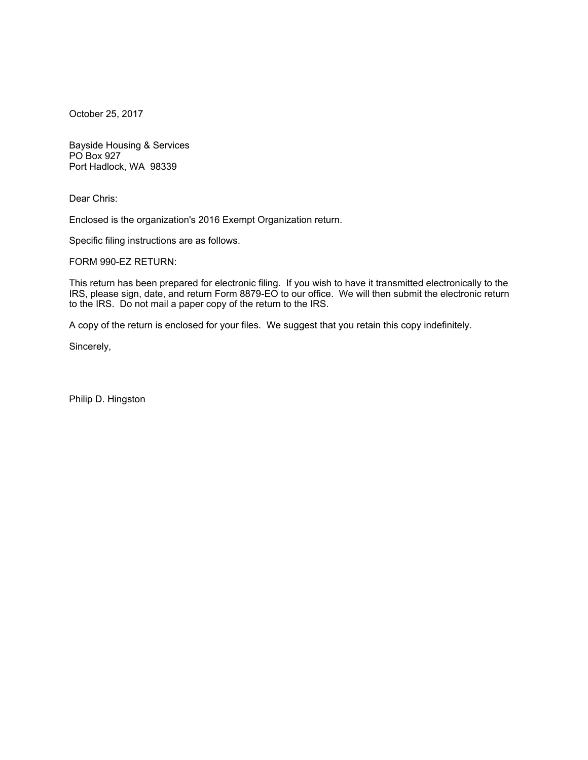October 25, 2017

Bayside Housing & Services PO Box 927 Port Hadlock, WA 98339

Dear Chris:

Enclosed is the organization's 2016 Exempt Organization return.

Specific filing instructions are as follows.

FORM 990-EZ RETURN:

This return has been prepared for electronic filing. If you wish to have it transmitted electronically to the IRS, please sign, date, and return Form 8879-EO to our office. We will then submit the electronic return to the IRS. Do not mail a paper copy of the return to the IRS.

A copy of the return is enclosed for your files. We suggest that you retain this copy indefinitely.

Sincerely,

Philip D. Hingston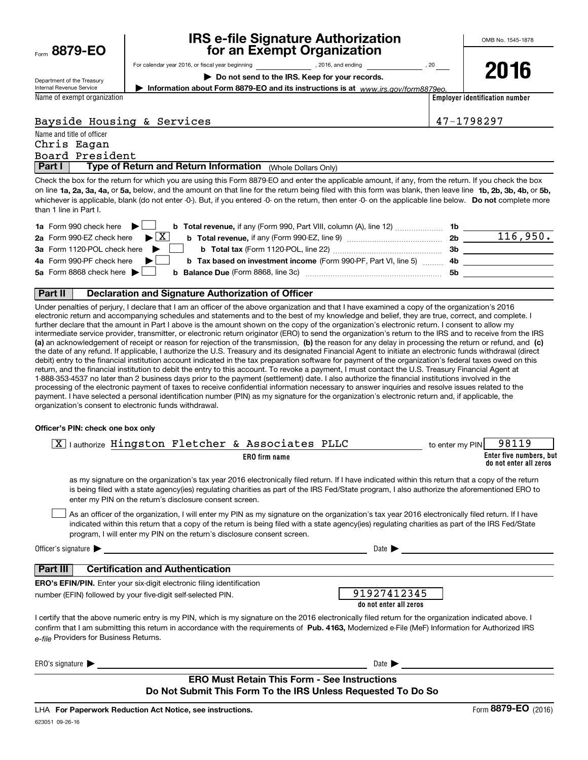Form**8879-EO**

## **IRS e-file Signature Authorization for an Exempt Organization**

OMB No. 1545-1878

**2016**

Department of the Treasury Internal Revenue Service

For calendar year 2016, or fiscal year beginning and the state of the state of the state of the state of the state of the state of the state of the state of the state of the state of the state of the state of the state of

**| Do not send to the IRS. Keep for your records.**

**Employer identification number | Information about Form 8879-EO and its instructions is at**  *www.irs.gov/form8879eo.*

Name of exempt organization

## Bayside Housing & Services 47-1798297

Name and title of officer

| Name and the OFOMCer |                                                                   |  |
|----------------------|-------------------------------------------------------------------|--|
|                      | Chris Eagan                                                       |  |
|                      | Board President                                                   |  |
| Part I               | <b>Type of Return and Return Information</b> (Whole Dollars Only) |  |

on line **1a, 2a, 3a, 4a,** or **5a,** below, and the amount on that line for the return being filed with this form was blank, then leave line **1b, 2b, 3b, 4b,** or **5b,** whichever is applicable, blank (do not enter -0-). But, if you entered -0- on the return, then enter -0- on the applicable line below. **Do not** complete more Check the box for the return for which you are using this Form 8879-EO and enter the applicable amount, if any, from the return. If you check the box than 1 line in Part I.

| 1a Form 990 check here $\blacktriangleright$                                                                                                   | 1b.            |          |
|------------------------------------------------------------------------------------------------------------------------------------------------|----------------|----------|
| 2a Form 990-EZ check here $\triangleright \boxed{X}$<br>b Total revenue, if any (Form 990-EZ, line 9)                                          | 2 <sub>b</sub> | 116,950. |
| 3a Form 1120-POL check here $\blacktriangleright$ $\Box$<br><b>b</b> Total tax (Form 1120-POL, line 22)                                        | -3b            |          |
| 4a Form 990-PF check here $\blacktriangleright$<br><b>b</b> Tax based on investment income (Form 990-PF, Part VI, line 5) 4b                   |                |          |
| 5a Form 8868 check here $\blacktriangleright$<br><b>b</b> Balance Due (Form 8868, line 3c) <b>Constanting Balance Due</b> (Form 8868, line 3c) | .5b            |          |
|                                                                                                                                                |                |          |

### **Part II Declaration and Signature Authorization of Officer**

**(a)** an acknowledgement of receipt or reason for rejection of the transmission, (b) the reason for any delay in processing the return or refund, and (c) Under penalties of perjury, I declare that I am an officer of the above organization and that I have examined a copy of the organization's 2016 electronic return and accompanying schedules and statements and to the best of my knowledge and belief, they are true, correct, and complete. I further declare that the amount in Part I above is the amount shown on the copy of the organization's electronic return. I consent to allow my intermediate service provider, transmitter, or electronic return originator (ERO) to send the organization's return to the IRS and to receive from the IRS the date of any refund. If applicable, I authorize the U.S. Treasury and its designated Financial Agent to initiate an electronic funds withdrawal (direct debit) entry to the financial institution account indicated in the tax preparation software for payment of the organization's federal taxes owed on this return, and the financial institution to debit the entry to this account. To revoke a payment, I must contact the U.S. Treasury Financial Agent at 1-888-353-4537 no later than 2 business days prior to the payment (settlement) date. I also authorize the financial institutions involved in the processing of the electronic payment of taxes to receive confidential information necessary to answer inquiries and resolve issues related to the payment. I have selected a personal identification number (PIN) as my signature for the organization's electronic return and, if applicable, the organization's consent to electronic funds withdrawal.

### **Officer's PIN: check one box only**

| 98119<br>Iauthorize Hingston Fletcher & Associates PLLC<br>ΧI<br>to enter my PIN                                                                                                                                                                                                                                                                                                 |
|----------------------------------------------------------------------------------------------------------------------------------------------------------------------------------------------------------------------------------------------------------------------------------------------------------------------------------------------------------------------------------|
| Enter five numbers, but<br><b>ERO</b> firm name<br>do not enter all zeros                                                                                                                                                                                                                                                                                                        |
| as my signature on the organization's tax year 2016 electronically filed return. If I have indicated within this return that a copy of the return<br>is being filed with a state agency(ies) regulating charities as part of the IRS Fed/State program, I also authorize the aforementioned ERO to<br>enter my PIN on the return's disclosure consent screen.                    |
| As an officer of the organization, I will enter my PIN as my signature on the organization's tax year 2016 electronically filed return. If I have<br>indicated within this return that a copy of the return is being filed with a state agency(ies) regulating charities as part of the IRS Fed/State<br>program, I will enter my PIN on the return's disclosure consent screen. |
| Officer's signature $\blacktriangleright$<br>Date $\blacktriangleright$<br><u> 1989 - Johann Stein, mars an deutscher Stein († 1989)</u>                                                                                                                                                                                                                                         |
| <b>Certification and Authentication</b><br>Part III                                                                                                                                                                                                                                                                                                                              |
| <b>ERO's EFIN/PIN.</b> Enter your six-digit electronic filing identification<br>91927412345<br>number (EFIN) followed by your five-digit self-selected PIN.<br>do not enter all zeros                                                                                                                                                                                            |
| I certify that the above numeric entry is my PIN, which is my signature on the 2016 electronically filed return for the organization indicated above. I<br>confirm that I am submitting this return in accordance with the requirements of Pub. 4163, Modernized e-File (MeF) Information for Authorized IRS<br>e-file Providers for Business Returns.                           |
| ERO's signature<br>Date $\blacktriangleright$                                                                                                                                                                                                                                                                                                                                    |
| <b>ERO Must Retain This Form - See Instructions</b><br>Do Not Submit This Form To the IRS Unless Requested To Do So                                                                                                                                                                                                                                                              |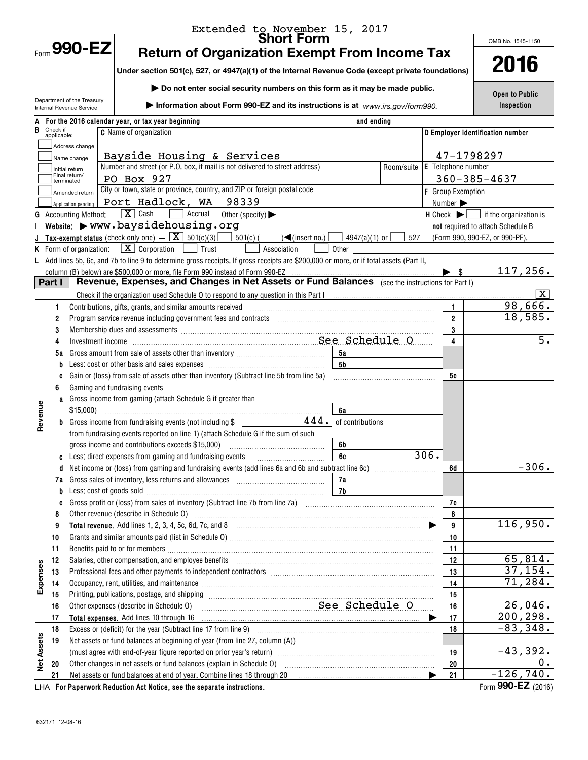|                   |                         |                                       | Extended to November 15, 2017<br><b>Short Form</b>                                                                                                                                                                             |                                   |                |                                |                                      |                    |                                                                                 |
|-------------------|-------------------------|---------------------------------------|--------------------------------------------------------------------------------------------------------------------------------------------------------------------------------------------------------------------------------|-----------------------------------|----------------|--------------------------------|--------------------------------------|--------------------|---------------------------------------------------------------------------------|
|                   |                         | $F_{\text{form}}$ 990-EZ              |                                                                                                                                                                                                                                |                                   |                |                                |                                      |                    | OMB No. 1545-1150                                                               |
|                   |                         |                                       | <b>Return of Organization Exempt From Income Tax</b><br>Under section 501(c), 527, or 4947(a)(1) of the Internal Revenue Code (except private foundations)                                                                     |                                   |                |                                |                                      |                    | 2016                                                                            |
|                   |                         |                                       | Do not enter social security numbers on this form as it may be made public.                                                                                                                                                    |                                   |                |                                |                                      |                    |                                                                                 |
|                   |                         | Department of the Treasury            |                                                                                                                                                                                                                                |                                   |                |                                |                                      |                    | <b>Open to Public</b>                                                           |
|                   |                         | Internal Revenue Service              | Information about Form 990-EZ and its instructions is at www.irs.gov/form990.                                                                                                                                                  |                                   |                |                                |                                      |                    | Inspection                                                                      |
|                   |                         |                                       | For the 2016 calendar year, or tax year beginning                                                                                                                                                                              |                                   |                | and ending                     |                                      |                    |                                                                                 |
|                   | Check if<br>applicable: |                                       | <b>C</b> Name of organization                                                                                                                                                                                                  |                                   |                |                                |                                      |                    | D Employer identification number                                                |
|                   |                         | Address change                        |                                                                                                                                                                                                                                |                                   |                |                                |                                      |                    |                                                                                 |
|                   |                         | Name change                           | Bayside Housing & Services<br>Number and street (or P.O. box, if mail is not delivered to street address)                                                                                                                      |                                   |                |                                |                                      | 47-1798297         |                                                                                 |
|                   |                         | Initial return<br>Final return/       | PO Box 927                                                                                                                                                                                                                     |                                   |                | Room/suite                     | <b>E</b> Telephone number            | $360 - 385 - 4637$ |                                                                                 |
|                   |                         | terminated                            | City or town, state or province, country, and ZIP or foreign postal code                                                                                                                                                       |                                   |                |                                |                                      |                    |                                                                                 |
|                   |                         | Amended return<br>Application pending | Port Hadlock, WA 98339                                                                                                                                                                                                         |                                   |                |                                | <b>F</b> Group Exemption<br>Number > |                    |                                                                                 |
|                   |                         | <b>G</b> Accounting Method:           | $\Box$ Accrual<br>$\boxed{\mathbf{X}}$ Cash<br>Other (specify) $\blacktriangleright$                                                                                                                                           |                                   |                |                                |                                      |                    | $H$ Check $\blacktriangleright$ $\lfloor \cdots \rfloor$ if the organization is |
|                   |                         |                                       | Website: www.baysidehousing.org                                                                                                                                                                                                |                                   |                |                                |                                      |                    | not required to attach Schedule B                                               |
|                   |                         |                                       | Tax-exempt status (check only one) $ \boxed{\mathbf{X}}$ 501(c)(3)<br>$501(c)$ (                                                                                                                                               | $\sqrt{\frac{2}{1}}$ (insert no.) |                | 4947(a)(1) or $\lfloor$<br>527 |                                      |                    | (Form 990, 990-EZ, or 990-PF).                                                  |
|                   |                         |                                       | <b>K</b> Form of organization: $X \cdot X$ Corporation $\Box$ Trust<br>Association                                                                                                                                             |                                   | Other          |                                |                                      |                    |                                                                                 |
|                   |                         |                                       | L Add lines 5b, 6c, and 7b to line 9 to determine gross receipts. If gross receipts are \$200,000 or more, or if total assets (Part II,                                                                                        |                                   |                |                                |                                      |                    |                                                                                 |
|                   |                         |                                       | column (B) below) are \$500,000 or more, file Form 990 instead of Form 990-EZ                                                                                                                                                  |                                   |                |                                |                                      |                    | 117, 256.                                                                       |
|                   | Part I                  |                                       |                                                                                                                                                                                                                                |                                   |                |                                |                                      |                    |                                                                                 |
|                   |                         |                                       | Check if the organization used Schedule O to respond to any question in this Part Informational content in the organization used Schedule O to respond to any question in this Part I                                          |                                   |                |                                |                                      |                    | $\boxed{\text{X}}$                                                              |
|                   | 1                       |                                       | Contributions, gifts, grants, and similar amounts received                                                                                                                                                                     |                                   |                |                                |                                      |                    | 98,666.<br>18,585.                                                              |
|                   | 2                       |                                       | Program service revenue including government fees and contracts [11] [11] non-manufacture revenues manufacture                                                                                                                 |                                   |                |                                | $\overline{\mathbf{2}}$<br>3         |                    |                                                                                 |
|                   | 3<br>4                  |                                       | Membership dues and assessments [111] Membership and assessments [11] Membership dues and assessments [11] Membership and assessments [11] Membership and assessments [11] Membership and a strategy and a strategy and a stra |                                   |                |                                | 4                                    |                    | 5.                                                                              |
|                   | 5а                      |                                       |                                                                                                                                                                                                                                |                                   | 5a             |                                |                                      |                    |                                                                                 |
|                   | b                       |                                       |                                                                                                                                                                                                                                |                                   | 5 <sub>b</sub> |                                |                                      |                    |                                                                                 |
|                   | C                       |                                       | Gain or (loss) from sale of assets other than inventory (Subtract line 5b from line 5a)                                                                                                                                        |                                   |                |                                | 5c                                   |                    |                                                                                 |
|                   | 6                       | Gaming and fundraising events         |                                                                                                                                                                                                                                |                                   |                |                                |                                      |                    |                                                                                 |
|                   |                         |                                       | a Gross income from gaming (attach Schedule G if greater than                                                                                                                                                                  |                                   |                |                                |                                      |                    |                                                                                 |
| Revenue           |                         |                                       |                                                                                                                                                                                                                                |                                   | 6a             |                                |                                      |                    |                                                                                 |
|                   |                         |                                       | <b>b</b> Gross income from fundraising events (not including \$                                                                                                                                                                | 444. of contributions             |                |                                |                                      |                    |                                                                                 |
|                   |                         |                                       | from fundraising events reported on line 1) (attach Schedule G if the sum of such                                                                                                                                              |                                   |                |                                |                                      |                    |                                                                                 |
|                   |                         |                                       | gross income and contributions exceeds \$15,000) manufactured in the substitution of the state of the state of                                                                                                                 |                                   | 6b.            |                                | $\overline{306}$ .                   |                    |                                                                                 |
|                   |                         |                                       | c Less: direct expenses from gaming and fundraising events <i>minimumming</i>                                                                                                                                                  | $\frac{1}{6c}$                    |                |                                |                                      |                    | $-306.$                                                                         |
|                   | d                       |                                       |                                                                                                                                                                                                                                |                                   |                |                                | 6d                                   |                    |                                                                                 |
|                   | b                       |                                       |                                                                                                                                                                                                                                |                                   | 7a<br>7b       |                                |                                      |                    |                                                                                 |
|                   | C                       |                                       |                                                                                                                                                                                                                                |                                   |                |                                | 7c                                   |                    |                                                                                 |
|                   | 8                       |                                       |                                                                                                                                                                                                                                |                                   |                |                                | 8                                    |                    |                                                                                 |
|                   | 9                       |                                       |                                                                                                                                                                                                                                |                                   |                |                                | 9                                    |                    | 116,950.                                                                        |
|                   | 10                      |                                       |                                                                                                                                                                                                                                |                                   |                |                                | 10                                   |                    |                                                                                 |
|                   | 11                      |                                       |                                                                                                                                                                                                                                |                                   |                |                                | 11                                   |                    |                                                                                 |
|                   | 12                      |                                       | Salaries, other compensation, and employee benefits [11] manufactures in the community of the compensation, and employee benefits [11] manufactures in the community of the community of the community of the community of the |                                   |                |                                | 12                                   |                    | 65,814.                                                                         |
|                   | 13                      |                                       | Professional fees and other payments to independent contractors [11] matter content content from the state and other payments to independent contractors [11] matter content from the Professional fees and other payments are |                                   |                |                                | 13                                   |                    | 37,154.                                                                         |
| Expenses          | 14                      |                                       | Occupancy, rent, utilities, and maintenance manufactured and according term of the manufacture of the manufacture                                                                                                              |                                   |                |                                | 14                                   |                    | 71,284.                                                                         |
|                   | 15                      |                                       | See Schedule O                                                                                                                                                                                                                 |                                   |                |                                | 15                                   |                    | 26,046.                                                                         |
|                   | 16<br>17                |                                       | Other expenses (describe in Schedule O)<br>Total expenses. Add lines 10 through 16                                                                                                                                             |                                   |                |                                | 16<br>17                             |                    | 200, 298.                                                                       |
|                   | 18                      |                                       |                                                                                                                                                                                                                                |                                   |                |                                | 18                                   |                    | $-83,348.$                                                                      |
|                   | 19                      |                                       | Net assets or fund balances at beginning of year (from line 27, column (A))                                                                                                                                                    |                                   |                |                                |                                      |                    |                                                                                 |
|                   |                         |                                       |                                                                                                                                                                                                                                |                                   |                |                                | 19                                   |                    | $-43,392.$                                                                      |
| <b>Net Assets</b> | 20                      |                                       | Other changes in net assets or fund balances (explain in Schedule O)                                                                                                                                                           |                                   |                |                                | 20                                   |                    | 0.                                                                              |
|                   | 21                      |                                       | Net assets or fund balances at end of year. Combine lines 18 through 20                                                                                                                                                        |                                   |                |                                | 21                                   |                    | $-126,740.$                                                                     |
|                   |                         |                                       | LHA For Paperwork Reduction Act Notice, see the separate instructions.                                                                                                                                                         |                                   |                |                                |                                      |                    | Form 990-EZ (2016)                                                              |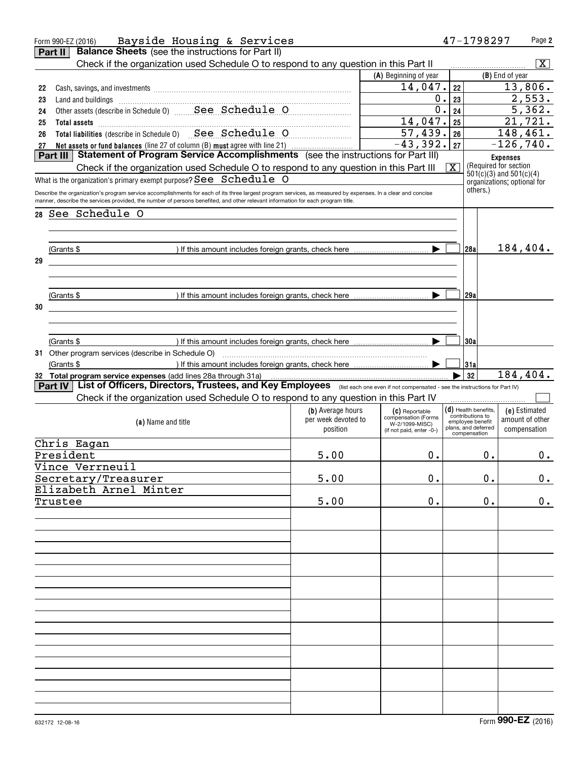|    | Bayside Housing & Services<br>Form 990-EZ (2016)                                                                                                                                                                                                                                               |                     |                                       |     | 47-1798297                                           |                 | Page 2          |
|----|------------------------------------------------------------------------------------------------------------------------------------------------------------------------------------------------------------------------------------------------------------------------------------------------|---------------------|---------------------------------------|-----|------------------------------------------------------|-----------------|-----------------|
|    | <b>Balance Sheets</b> (see the instructions for Part II)<br>Part II                                                                                                                                                                                                                            |                     |                                       |     |                                                      |                 |                 |
|    | Check if the organization used Schedule O to respond to any question in this Part II                                                                                                                                                                                                           |                     |                                       |     |                                                      |                 | X               |
|    |                                                                                                                                                                                                                                                                                                |                     | (A) Beginning of year                 |     |                                                      | (B) End of year |                 |
| 22 |                                                                                                                                                                                                                                                                                                |                     | 14,047.                               | 22  |                                                      |                 | 13,806.         |
| 23 |                                                                                                                                                                                                                                                                                                |                     | 0.                                    | 23  |                                                      |                 | 2,553.          |
| 24 | Other assets (describe in Schedule 0) ______ See__Schedule_0                                                                                                                                                                                                                                   |                     | 0.                                    | 24  |                                                      |                 | 5,362.          |
| 25 | Total assets<br>Total liabilities (describe in Schedule 0) See Schedule 0                                                                                                                                                                                                                      |                     | 14,047.                               | 25  |                                                      |                 | 21,721.         |
| 26 |                                                                                                                                                                                                                                                                                                |                     | 57,439.                               | 26  |                                                      |                 | 148,461.        |
| 27 | Net assets or fund balances (line 27 of column (B) must agree with line 21)                                                                                                                                                                                                                    |                     | $-43,392.$                            | 27  |                                                      |                 | $-126,740.$     |
|    | Statement of Program Service Accomplishments (see the instructions for Part III)<br>Part III                                                                                                                                                                                                   |                     |                                       |     |                                                      | <b>Expenses</b> |                 |
|    | Check if the organization used Schedule O to respond to any question in this Part III                                                                                                                                                                                                          |                     |                                       | - X | (Required for section<br>$501(c)(3)$ and $501(c)(4)$ |                 |                 |
|    | What is the organization's primary exempt purpose? $\texttt{See} \ \ \texttt{Schedule} \ \ \texttt{O}$                                                                                                                                                                                         |                     |                                       |     | organizations; optional for                          |                 |                 |
|    | Describe the organization's program service accomplishments for each of its three largest program services, as measured by expenses. In a clear and concise<br>manner, describe the services provided, the number of persons benefited, and other relevant information for each program title. |                     |                                       |     | others.)                                             |                 |                 |
|    | 28 See Schedule O                                                                                                                                                                                                                                                                              |                     |                                       |     |                                                      |                 |                 |
|    |                                                                                                                                                                                                                                                                                                |                     |                                       |     |                                                      |                 |                 |
|    |                                                                                                                                                                                                                                                                                                |                     |                                       |     |                                                      |                 |                 |
|    | (Grants \$                                                                                                                                                                                                                                                                                     |                     |                                       |     | 128a                                                 |                 | 184,404.        |
| 29 |                                                                                                                                                                                                                                                                                                |                     |                                       |     |                                                      |                 |                 |
|    |                                                                                                                                                                                                                                                                                                |                     |                                       |     |                                                      |                 |                 |
|    |                                                                                                                                                                                                                                                                                                |                     |                                       |     |                                                      |                 |                 |
|    | (Grants \$                                                                                                                                                                                                                                                                                     |                     |                                       |     | 129a                                                 |                 |                 |
| 30 |                                                                                                                                                                                                                                                                                                |                     |                                       |     |                                                      |                 |                 |
|    |                                                                                                                                                                                                                                                                                                |                     |                                       |     |                                                      |                 |                 |
|    |                                                                                                                                                                                                                                                                                                |                     |                                       |     |                                                      |                 |                 |
|    | (Grants \$                                                                                                                                                                                                                                                                                     |                     |                                       |     | 130a                                                 |                 |                 |
|    | 31 Other program services (describe in Schedule O)                                                                                                                                                                                                                                             |                     |                                       |     |                                                      |                 |                 |
|    |                                                                                                                                                                                                                                                                                                |                     |                                       |     |                                                      |                 |                 |
|    | (Grants \$                                                                                                                                                                                                                                                                                     |                     |                                       |     | 31a                                                  |                 |                 |
|    | 32 Total program service expenses (add lines 28a through 31a)                                                                                                                                                                                                                                  |                     |                                       |     | 32                                                   |                 | 184,404.        |
|    | List of Officers, Directors, Trustees, and Key Employees (list each one even if not compensated - see the instructions for Part IV)<br>Part IV                                                                                                                                                 |                     |                                       |     |                                                      |                 |                 |
|    | Check if the organization used Schedule O to respond to any question in this Part IV                                                                                                                                                                                                           |                     |                                       |     |                                                      |                 |                 |
|    |                                                                                                                                                                                                                                                                                                | (b) Average hours   | (C) Reportable                        |     | $(d)$ Health benefits,<br>contributions to           |                 | (e) Estimated   |
|    | (a) Name and title                                                                                                                                                                                                                                                                             | per week devoted to | compensation (Forms<br>W-2/1099-MISC) |     | employee benefit<br>plans, and deferred              |                 | amount of other |
|    |                                                                                                                                                                                                                                                                                                | position            | (if not paid, enter -0-)              |     | compensation                                         |                 | compensation    |
|    | Chris Eagan                                                                                                                                                                                                                                                                                    |                     |                                       |     |                                                      |                 |                 |
|    | President                                                                                                                                                                                                                                                                                      | 5.00                | 0.                                    |     | 0.                                                   |                 | 0.              |
|    | Vince Verrneuil                                                                                                                                                                                                                                                                                |                     |                                       |     |                                                      |                 |                 |
|    | Secretary/Treasurer                                                                                                                                                                                                                                                                            | 5.00                | 0.                                    |     | 0.                                                   |                 | 0.              |
|    | Elizabeth Arnel Minter                                                                                                                                                                                                                                                                         |                     |                                       |     |                                                      |                 |                 |
|    | Trustee                                                                                                                                                                                                                                                                                        | 5.00                | 0.                                    |     | 0.                                                   |                 | 0.              |
|    |                                                                                                                                                                                                                                                                                                |                     |                                       |     |                                                      |                 |                 |
|    |                                                                                                                                                                                                                                                                                                |                     |                                       |     |                                                      |                 |                 |
|    |                                                                                                                                                                                                                                                                                                |                     |                                       |     |                                                      |                 |                 |
|    |                                                                                                                                                                                                                                                                                                |                     |                                       |     |                                                      |                 |                 |
|    |                                                                                                                                                                                                                                                                                                |                     |                                       |     |                                                      |                 |                 |
|    |                                                                                                                                                                                                                                                                                                |                     |                                       |     |                                                      |                 |                 |
|    |                                                                                                                                                                                                                                                                                                |                     |                                       |     |                                                      |                 |                 |
|    |                                                                                                                                                                                                                                                                                                |                     |                                       |     |                                                      |                 |                 |
|    |                                                                                                                                                                                                                                                                                                |                     |                                       |     |                                                      |                 |                 |
|    |                                                                                                                                                                                                                                                                                                |                     |                                       |     |                                                      |                 |                 |
|    |                                                                                                                                                                                                                                                                                                |                     |                                       |     |                                                      |                 |                 |
|    |                                                                                                                                                                                                                                                                                                |                     |                                       |     |                                                      |                 |                 |
|    |                                                                                                                                                                                                                                                                                                |                     |                                       |     |                                                      |                 |                 |
|    |                                                                                                                                                                                                                                                                                                |                     |                                       |     |                                                      |                 |                 |
|    |                                                                                                                                                                                                                                                                                                |                     |                                       |     |                                                      |                 |                 |
|    |                                                                                                                                                                                                                                                                                                |                     |                                       |     |                                                      |                 |                 |
|    |                                                                                                                                                                                                                                                                                                |                     |                                       |     |                                                      |                 |                 |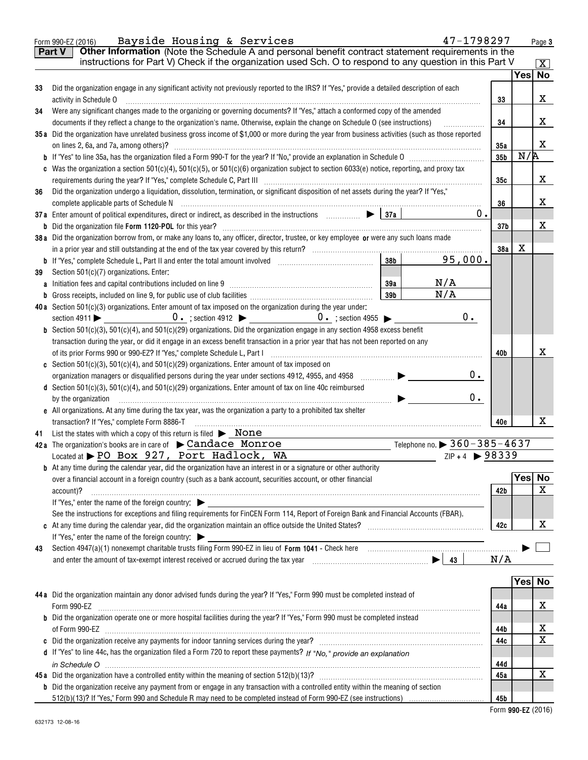|    | 47-1798297<br>Bayside Housing & Services<br>Form 990-EZ (2016)                                                                                                                                                                                                                                                                                                                                                                                                 |     |   | Page 3       |  |  |
|----|----------------------------------------------------------------------------------------------------------------------------------------------------------------------------------------------------------------------------------------------------------------------------------------------------------------------------------------------------------------------------------------------------------------------------------------------------------------|-----|---|--------------|--|--|
|    | Other Information (Note the Schedule A and personal benefit contract statement requirements in the<br><b>Part V</b>                                                                                                                                                                                                                                                                                                                                            |     |   |              |  |  |
|    | instructions for Part V) Check if the organization used Sch. O to respond to any question in this Part V                                                                                                                                                                                                                                                                                                                                                       |     |   | $\mathbf{x}$ |  |  |
|    |                                                                                                                                                                                                                                                                                                                                                                                                                                                                |     |   | Yes No       |  |  |
| 33 | Did the organization engage in any significant activity not previously reported to the IRS? If "Yes," provide a detailed description of each                                                                                                                                                                                                                                                                                                                   |     |   |              |  |  |
|    | activity in Schedule O                                                                                                                                                                                                                                                                                                                                                                                                                                         | 33  |   | x            |  |  |
| 34 | Were any significant changes made to the organizing or governing documents? If "Yes," attach a conformed copy of the amended                                                                                                                                                                                                                                                                                                                                   |     |   |              |  |  |
|    | documents if they reflect a change to the organization's name. Otherwise, explain the change on Schedule O (see instructions)                                                                                                                                                                                                                                                                                                                                  |     |   |              |  |  |
|    | 35a Did the organization have unrelated business gross income of \$1,000 or more during the year from business activities (such as those reported                                                                                                                                                                                                                                                                                                              |     |   |              |  |  |
|    |                                                                                                                                                                                                                                                                                                                                                                                                                                                                | 35a |   | x            |  |  |
|    |                                                                                                                                                                                                                                                                                                                                                                                                                                                                |     |   |              |  |  |
|    | Was the organization a section $501(c)(4)$ , $501(c)(5)$ , or $501(c)(6)$ organization subject to section 6033(e) notice, reporting, and proxy tax                                                                                                                                                                                                                                                                                                             |     |   |              |  |  |
|    |                                                                                                                                                                                                                                                                                                                                                                                                                                                                | 35c |   | x            |  |  |
| 36 | Did the organization undergo a liquidation, dissolution, termination, or significant disposition of net assets during the year? If "Yes,"                                                                                                                                                                                                                                                                                                                      |     |   |              |  |  |
|    |                                                                                                                                                                                                                                                                                                                                                                                                                                                                | 36  |   | x            |  |  |
|    | 37a Enter amount of political expenditures, direct or indirect, as described in the instructions $\Box$<br>$0$ .                                                                                                                                                                                                                                                                                                                                               |     |   |              |  |  |
|    |                                                                                                                                                                                                                                                                                                                                                                                                                                                                | 37b |   | x            |  |  |
|    | 38a Did the organization borrow from, or make any loans to, any officer, director, trustee, or key employee or were any such loans made                                                                                                                                                                                                                                                                                                                        |     |   |              |  |  |
|    |                                                                                                                                                                                                                                                                                                                                                                                                                                                                | 38a | Х |              |  |  |
|    | 38 <sub>b</sub><br>95,000.                                                                                                                                                                                                                                                                                                                                                                                                                                     |     |   |              |  |  |
| 39 | Section 501(c)(7) organizations. Enter:                                                                                                                                                                                                                                                                                                                                                                                                                        |     |   |              |  |  |
|    | N/A<br>39a                                                                                                                                                                                                                                                                                                                                                                                                                                                     |     |   |              |  |  |
|    | N/A<br>39 <sub>b</sub>                                                                                                                                                                                                                                                                                                                                                                                                                                         |     |   |              |  |  |
|    | 40a Section 501(c)(3) organizations. Enter amount of tax imposed on the organization during the year under:                                                                                                                                                                                                                                                                                                                                                    |     |   |              |  |  |
|    | 0.                                                                                                                                                                                                                                                                                                                                                                                                                                                             |     |   |              |  |  |
|    | Section 501(c)(3), 501(c)(4), and 501(c)(29) organizations. Did the organization engage in any section 4958 excess benefit                                                                                                                                                                                                                                                                                                                                     |     |   |              |  |  |
|    | transaction during the year, or did it engage in an excess benefit transaction in a prior year that has not been reported on any                                                                                                                                                                                                                                                                                                                               | 40b |   | х            |  |  |
|    | Section 501(c)(3), 501(c)(4), and 501(c)(29) organizations. Enter amount of tax imposed on                                                                                                                                                                                                                                                                                                                                                                     |     |   |              |  |  |
|    | 0.<br>$\begin{picture}(20,20) \put(0,0){\line(1,0){10}} \put(15,0){\line(1,0){10}} \put(15,0){\line(1,0){10}} \put(15,0){\line(1,0){10}} \put(15,0){\line(1,0){10}} \put(15,0){\line(1,0){10}} \put(15,0){\line(1,0){10}} \put(15,0){\line(1,0){10}} \put(15,0){\line(1,0){10}} \put(15,0){\line(1,0){10}} \put(15,0){\line(1,0){10}} \put(15,0){\line(1$<br>organization managers or disqualified persons during the year under sections 4912, 4955, and 4958 |     |   |              |  |  |
|    | d Section 501(c)(3), 501(c)(4), and 501(c)(29) organizations. Enter amount of tax on line 40c reimbursed                                                                                                                                                                                                                                                                                                                                                       |     |   |              |  |  |
|    | $0$ .<br>by the organization                                                                                                                                                                                                                                                                                                                                                                                                                                   |     |   |              |  |  |
|    | e All organizations. At any time during the tax year, was the organization a party to a prohibited tax shelter                                                                                                                                                                                                                                                                                                                                                 |     |   |              |  |  |
|    | transaction? If "Yes," complete Form 8886-T                                                                                                                                                                                                                                                                                                                                                                                                                    | 40e |   | x            |  |  |
| 41 | List the states with which a copy of this return is filed $\blacktriangleright$ None                                                                                                                                                                                                                                                                                                                                                                           |     |   |              |  |  |
|    | Telephone no. $\triangleright 360 - 385 - 4637$<br>42a The organization's books are in care of $\blacktriangleright$ Candace Monroe                                                                                                                                                                                                                                                                                                                            |     |   |              |  |  |
|    | $ZIP + 4$ $\triangleright$ 98339<br>Located at > PO Box 927, Port Hadlock, WA                                                                                                                                                                                                                                                                                                                                                                                  |     |   |              |  |  |
|    | <b>b</b> At any time during the calendar year, did the organization have an interest in or a signature or other authority                                                                                                                                                                                                                                                                                                                                      |     |   |              |  |  |
|    | over a financial account in a foreign country (such as a bank account, securities account, or other financial                                                                                                                                                                                                                                                                                                                                                  |     |   | Yes No       |  |  |
|    | account)?                                                                                                                                                                                                                                                                                                                                                                                                                                                      | 42b |   | x            |  |  |
|    | If "Yes," enter the name of the foreign country: $\blacktriangleright$                                                                                                                                                                                                                                                                                                                                                                                         |     |   |              |  |  |
|    | See the instructions for exceptions and filing requirements for FinCEN Form 114, Report of Foreign Bank and Financial Accounts (FBAR).                                                                                                                                                                                                                                                                                                                         |     |   |              |  |  |
|    |                                                                                                                                                                                                                                                                                                                                                                                                                                                                | 42c |   | x            |  |  |
|    | If "Yes," enter the name of the foreign country: $\blacktriangleright$                                                                                                                                                                                                                                                                                                                                                                                         |     |   |              |  |  |
| 43 |                                                                                                                                                                                                                                                                                                                                                                                                                                                                | N/A |   |              |  |  |
|    |                                                                                                                                                                                                                                                                                                                                                                                                                                                                |     |   |              |  |  |
|    |                                                                                                                                                                                                                                                                                                                                                                                                                                                                |     |   | Yes No       |  |  |
|    | 44a Did the organization maintain any donor advised funds during the year? If "Yes," Form 990 must be completed instead of                                                                                                                                                                                                                                                                                                                                     |     |   |              |  |  |
|    | Form 990-EZ                                                                                                                                                                                                                                                                                                                                                                                                                                                    | 44a |   | x            |  |  |
|    | <b>b</b> Did the organization operate one or more hospital facilities during the year? If "Yes," Form 990 must be completed instead                                                                                                                                                                                                                                                                                                                            |     |   |              |  |  |
|    |                                                                                                                                                                                                                                                                                                                                                                                                                                                                | 44b |   | x            |  |  |
|    | Did the organization receive any payments for indoor tanning services during the year?<br>Universal the communication receive any payments for indoor tanning services during the year?                                                                                                                                                                                                                                                                        | 44c |   | х            |  |  |
|    | d If "Yes" to line 44c, has the organization filed a Form 720 to report these payments? If "No," provide an explanation                                                                                                                                                                                                                                                                                                                                        |     |   |              |  |  |
|    |                                                                                                                                                                                                                                                                                                                                                                                                                                                                | 44d |   |              |  |  |
|    |                                                                                                                                                                                                                                                                                                                                                                                                                                                                | 45a |   | x            |  |  |
|    | <b>b</b> Did the organization receive any payment from or engage in any transaction with a controlled entity within the meaning of section                                                                                                                                                                                                                                                                                                                     |     |   |              |  |  |
|    |                                                                                                                                                                                                                                                                                                                                                                                                                                                                | 45b |   |              |  |  |
|    |                                                                                                                                                                                                                                                                                                                                                                                                                                                                |     |   |              |  |  |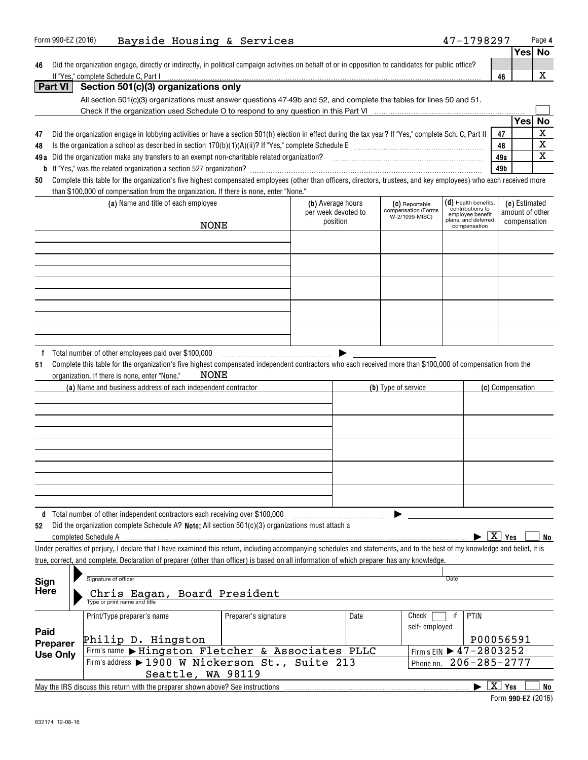| Form 990-EZ (2016) | Bayside Housing & Services                                                                                                                                                                                                                                                 |                      |                     |      |                                       | 47-1798297                           |                        |                 | Page 4                  |
|--------------------|----------------------------------------------------------------------------------------------------------------------------------------------------------------------------------------------------------------------------------------------------------------------------|----------------------|---------------------|------|---------------------------------------|--------------------------------------|------------------------|-----------------|-------------------------|
|                    |                                                                                                                                                                                                                                                                            |                      |                     |      |                                       |                                      |                        | Yes No          |                         |
| 46                 | Did the organization engage, directly or indirectly, in political campaign activities on behalf of or in opposition to candidates for public office?                                                                                                                       |                      |                     |      |                                       |                                      |                        |                 |                         |
|                    | If "Yes," complete Schedule C, Part I                                                                                                                                                                                                                                      |                      |                     |      |                                       |                                      | 46                     |                 | X                       |
| <b>Part VI</b>     | Section 501(c)(3) organizations only                                                                                                                                                                                                                                       |                      |                     |      |                                       |                                      |                        |                 |                         |
|                    | All section 501(c)(3) organizations must answer questions 47-49b and 52, and complete the tables for lines 50 and 51.                                                                                                                                                      |                      |                     |      |                                       |                                      |                        |                 |                         |
|                    |                                                                                                                                                                                                                                                                            |                      |                     |      |                                       |                                      |                        |                 |                         |
|                    |                                                                                                                                                                                                                                                                            |                      |                     |      |                                       |                                      |                        | <b>Yes</b>      | No                      |
|                    |                                                                                                                                                                                                                                                                            |                      |                     |      |                                       |                                      |                        |                 | $\mathbf X$             |
| 47                 | Did the organization engage in lobbying activities or have a section 501(h) election in effect during the tax year? If "Yes," complete Sch. C, Part II                                                                                                                     |                      |                     |      |                                       |                                      | 47                     |                 |                         |
| 48                 |                                                                                                                                                                                                                                                                            |                      |                     |      |                                       |                                      | 48                     |                 | $\overline{\textbf{X}}$ |
|                    |                                                                                                                                                                                                                                                                            |                      |                     |      |                                       |                                      | 49a                    |                 | X                       |
|                    |                                                                                                                                                                                                                                                                            |                      |                     |      |                                       |                                      | 49b                    |                 |                         |
| 50                 | Complete this table for the organization's five highest compensated employees (other than officers, directors, trustees, and key employees) who each received more                                                                                                         |                      |                     |      |                                       |                                      |                        |                 |                         |
|                    | than \$100,000 of compensation from the organization. If there is none, enter "None."                                                                                                                                                                                      |                      |                     |      |                                       |                                      |                        |                 |                         |
|                    | (a) Name and title of each employee                                                                                                                                                                                                                                        |                      | (b) Average hours   |      | (C) Reportable                        | $(d)$ Health benefits,               |                        | (e) Estimated   |                         |
|                    |                                                                                                                                                                                                                                                                            |                      | per week devoted to |      | compensation (Forms<br>W-2/1099-MISC) | contributions to<br>employee benefit |                        | amount of other |                         |
|                    | <b>NONE</b>                                                                                                                                                                                                                                                                |                      | position            |      |                                       | plans, and deferred<br>compensation  |                        | compensation    |                         |
|                    |                                                                                                                                                                                                                                                                            |                      |                     |      |                                       |                                      |                        |                 |                         |
|                    |                                                                                                                                                                                                                                                                            |                      |                     |      |                                       |                                      |                        |                 |                         |
|                    |                                                                                                                                                                                                                                                                            |                      |                     |      |                                       |                                      |                        |                 |                         |
|                    |                                                                                                                                                                                                                                                                            |                      |                     |      |                                       |                                      |                        |                 |                         |
|                    |                                                                                                                                                                                                                                                                            |                      |                     |      |                                       |                                      |                        |                 |                         |
|                    |                                                                                                                                                                                                                                                                            |                      |                     |      |                                       |                                      |                        |                 |                         |
|                    |                                                                                                                                                                                                                                                                            |                      |                     |      |                                       |                                      |                        |                 |                         |
|                    |                                                                                                                                                                                                                                                                            |                      |                     |      |                                       |                                      |                        |                 |                         |
|                    |                                                                                                                                                                                                                                                                            |                      |                     |      |                                       |                                      |                        |                 |                         |
|                    |                                                                                                                                                                                                                                                                            |                      |                     |      |                                       |                                      |                        |                 |                         |
|                    |                                                                                                                                                                                                                                                                            |                      |                     |      |                                       |                                      |                        |                 |                         |
| 51                 | Total number of other employees paid over \$100,000<br>Complete this table for the organization's five highest compensated independent contractors who each received more than \$100,000 of compensation from the<br>NONE<br>organization. If there is none, enter "None." |                      |                     |      |                                       |                                      |                        |                 |                         |
|                    | (a) Name and business address of each independent contractor                                                                                                                                                                                                               |                      |                     |      | (b) Type of service                   |                                      | (c) Compensation       |                 |                         |
|                    |                                                                                                                                                                                                                                                                            |                      |                     |      |                                       |                                      |                        |                 |                         |
|                    |                                                                                                                                                                                                                                                                            |                      |                     |      |                                       |                                      |                        |                 |                         |
|                    |                                                                                                                                                                                                                                                                            |                      |                     |      |                                       |                                      |                        |                 |                         |
|                    |                                                                                                                                                                                                                                                                            |                      |                     |      |                                       |                                      |                        |                 |                         |
|                    |                                                                                                                                                                                                                                                                            |                      |                     |      |                                       |                                      |                        |                 |                         |
|                    |                                                                                                                                                                                                                                                                            |                      |                     |      |                                       |                                      |                        |                 |                         |
|                    |                                                                                                                                                                                                                                                                            |                      |                     |      |                                       |                                      |                        |                 |                         |
|                    |                                                                                                                                                                                                                                                                            |                      |                     |      |                                       |                                      |                        |                 |                         |
|                    |                                                                                                                                                                                                                                                                            |                      |                     |      |                                       |                                      |                        |                 |                         |
|                    |                                                                                                                                                                                                                                                                            |                      |                     |      |                                       |                                      |                        |                 |                         |
|                    |                                                                                                                                                                                                                                                                            |                      |                     |      |                                       |                                      |                        |                 |                         |
|                    | d Total number of other independent contractors each receiving over \$100,000                                                                                                                                                                                              |                      |                     |      |                                       |                                      |                        |                 |                         |
| 52                 | Did the organization complete Schedule A? Note: All section $501(c)(3)$ organizations must attach a                                                                                                                                                                        |                      |                     |      |                                       |                                      |                        |                 |                         |
|                    | completed Schedule A                                                                                                                                                                                                                                                       |                      |                     |      |                                       |                                      | $\boxed{\text{X}}$ Yes |                 | No                      |
|                    | Under penalties of perjury, I declare that I have examined this return, including accompanying schedules and statements, and to the best of my knowledge and belief, it is                                                                                                 |                      |                     |      |                                       |                                      |                        |                 |                         |
|                    | true, correct, and complete. Declaration of preparer (other than officer) is based on all information of which preparer has any knowledge.                                                                                                                                 |                      |                     |      |                                       |                                      |                        |                 |                         |
|                    |                                                                                                                                                                                                                                                                            |                      |                     |      |                                       |                                      |                        |                 |                         |
| Sign               | Signature of officer                                                                                                                                                                                                                                                       |                      |                     |      |                                       | Date                                 |                        |                 |                         |
| <b>Here</b>        | Chris Eagan, Board President                                                                                                                                                                                                                                               |                      |                     |      |                                       |                                      |                        |                 |                         |
|                    | Type or print name and title                                                                                                                                                                                                                                               |                      |                     |      |                                       |                                      |                        |                 |                         |
|                    |                                                                                                                                                                                                                                                                            |                      |                     |      |                                       |                                      |                        |                 |                         |
|                    | Print/Type preparer's name                                                                                                                                                                                                                                                 | Preparer's signature |                     | Date | Check                                 | PTIN<br>if                           |                        |                 |                         |
| Paid               |                                                                                                                                                                                                                                                                            |                      |                     |      | self-employed                         |                                      |                        |                 |                         |
| Preparer           | Philip D. Hingston                                                                                                                                                                                                                                                         |                      |                     |      |                                       |                                      | P00056591              |                 |                         |
| <b>Use Only</b>    | Firm's name > Hingston Fletcher & Associates PLLC                                                                                                                                                                                                                          |                      |                     |      |                                       | Firm's EIN ▶ 47-2803252              |                        |                 |                         |
|                    | Firm's address > 1900 W Nickerson St., Suite 213                                                                                                                                                                                                                           |                      |                     |      | Phone no.                             | $206 - 285 - 2777$                   |                        |                 |                         |
|                    | Seattle, WA 98119                                                                                                                                                                                                                                                          |                      |                     |      |                                       |                                      |                        |                 |                         |
|                    | May the IRS discuss this return with the preparer shown above? See instructions                                                                                                                                                                                            |                      |                     |      |                                       |                                      | $\boxed{\text{X}}$ Yes |                 | No                      |

**Yes**es **Lack** No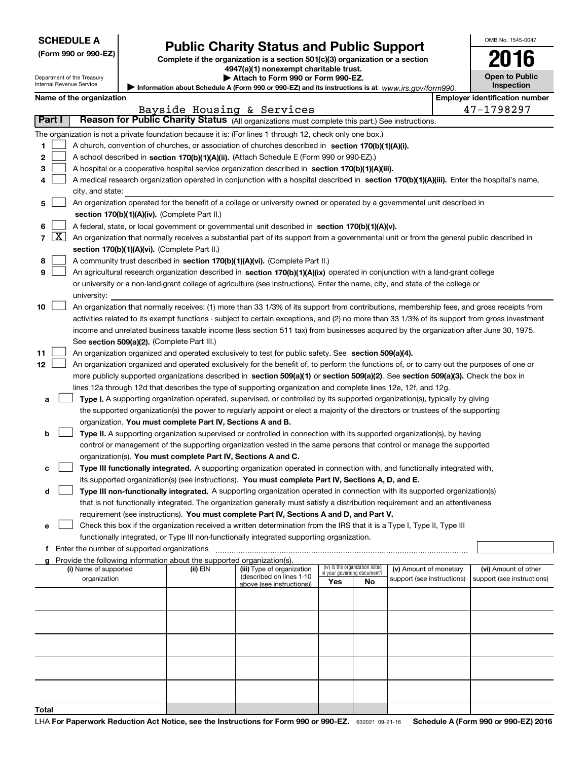Department of the Treasury Internal Revenue Service

**Total**

| (Form 990 or 990-EZ) |  |  |  |  |
|----------------------|--|--|--|--|
|----------------------|--|--|--|--|

# **Public Charity Status and Public Support**

**Complete if the organization is a section 501(c)(3) organization or a section 4947(a)(1) nonexempt charitable trust.**

**| Attach to Form 990 or Form 990-EZ.** 

Information about Schedule A (Form 990 or 990-EZ) and its instructions is at *www.irs.gov/form990.* 

|                           | OMB No. 1545-0047                   |  |  |  |  |
|---------------------------|-------------------------------------|--|--|--|--|
|                           | 2016                                |  |  |  |  |
|                           | <b>Open to Public</b><br>Inspection |  |  |  |  |
| identification numh<br>۵r |                                     |  |  |  |  |

| Name of the organization |  |
|--------------------------|--|
|--------------------------|--|

|    |            | Name of the organization                                                                                                                      |          |                                                       |     |                                                                |                            |  | <b>Employer identification number</b> |
|----|------------|-----------------------------------------------------------------------------------------------------------------------------------------------|----------|-------------------------------------------------------|-----|----------------------------------------------------------------|----------------------------|--|---------------------------------------|
|    |            |                                                                                                                                               |          | Bayside Housing & Services                            |     |                                                                |                            |  | 47-1798297                            |
|    | Part I     | Reason for Public Charity Status (All organizations must complete this part.) See instructions.                                               |          |                                                       |     |                                                                |                            |  |                                       |
|    |            | The organization is not a private foundation because it is: (For lines 1 through 12, check only one box.)                                     |          |                                                       |     |                                                                |                            |  |                                       |
| 1. |            | A church, convention of churches, or association of churches described in section 170(b)(1)(A)(i).                                            |          |                                                       |     |                                                                |                            |  |                                       |
| 2  |            | A school described in section 170(b)(1)(A)(ii). (Attach Schedule E (Form 990 or 990-EZ).)                                                     |          |                                                       |     |                                                                |                            |  |                                       |
| 3  |            | A hospital or a cooperative hospital service organization described in section 170(b)(1)(A)(iii).                                             |          |                                                       |     |                                                                |                            |  |                                       |
| 4  |            | A medical research organization operated in conjunction with a hospital described in section 170(b)(1)(A)(iii). Enter the hospital's name,    |          |                                                       |     |                                                                |                            |  |                                       |
|    |            | city, and state:                                                                                                                              |          |                                                       |     |                                                                |                            |  |                                       |
| 5  |            | An organization operated for the benefit of a college or university owned or operated by a governmental unit described in                     |          |                                                       |     |                                                                |                            |  |                                       |
|    |            | section 170(b)(1)(A)(iv). (Complete Part II.)                                                                                                 |          |                                                       |     |                                                                |                            |  |                                       |
| 6  |            | A federal, state, or local government or governmental unit described in section 170(b)(1)(A)(v).                                              |          |                                                       |     |                                                                |                            |  |                                       |
|    | $7 \times$ | An organization that normally receives a substantial part of its support from a governmental unit or from the general public described in     |          |                                                       |     |                                                                |                            |  |                                       |
|    |            | section 170(b)(1)(A)(vi). (Complete Part II.)                                                                                                 |          |                                                       |     |                                                                |                            |  |                                       |
| 8  |            | A community trust described in section 170(b)(1)(A)(vi). (Complete Part II.)                                                                  |          |                                                       |     |                                                                |                            |  |                                       |
| 9  |            | An agricultural research organization described in section 170(b)(1)(A)(ix) operated in conjunction with a land-grant college                 |          |                                                       |     |                                                                |                            |  |                                       |
|    |            | or university or a non-land-grant college of agriculture (see instructions). Enter the name, city, and state of the college or                |          |                                                       |     |                                                                |                            |  |                                       |
|    |            | university:                                                                                                                                   |          |                                                       |     |                                                                |                            |  |                                       |
| 10 |            | An organization that normally receives: (1) more than 33 1/3% of its support from contributions, membership fees, and gross receipts from     |          |                                                       |     |                                                                |                            |  |                                       |
|    |            | activities related to its exempt functions - subject to certain exceptions, and (2) no more than 33 1/3% of its support from gross investment |          |                                                       |     |                                                                |                            |  |                                       |
|    |            | income and unrelated business taxable income (less section 511 tax) from businesses acquired by the organization after June 30, 1975.         |          |                                                       |     |                                                                |                            |  |                                       |
|    |            | See section 509(a)(2). (Complete Part III.)                                                                                                   |          |                                                       |     |                                                                |                            |  |                                       |
| 11 |            | An organization organized and operated exclusively to test for public safety. See section 509(a)(4).                                          |          |                                                       |     |                                                                |                            |  |                                       |
| 12 |            | An organization organized and operated exclusively for the benefit of, to perform the functions of, or to carry out the purposes of one or    |          |                                                       |     |                                                                |                            |  |                                       |
|    |            | more publicly supported organizations described in section 509(a)(1) or section 509(a)(2). See section 509(a)(3). Check the box in            |          |                                                       |     |                                                                |                            |  |                                       |
|    |            | lines 12a through 12d that describes the type of supporting organization and complete lines 12e, 12f, and 12g.                                |          |                                                       |     |                                                                |                            |  |                                       |
| a  |            | Type I. A supporting organization operated, supervised, or controlled by its supported organization(s), typically by giving                   |          |                                                       |     |                                                                |                            |  |                                       |
|    |            | the supported organization(s) the power to regularly appoint or elect a majority of the directors or trustees of the supporting               |          |                                                       |     |                                                                |                            |  |                                       |
|    |            | organization. You must complete Part IV, Sections A and B.                                                                                    |          |                                                       |     |                                                                |                            |  |                                       |
| b  |            | Type II. A supporting organization supervised or controlled in connection with its supported organization(s), by having                       |          |                                                       |     |                                                                |                            |  |                                       |
|    |            | control or management of the supporting organization vested in the same persons that control or manage the supported                          |          |                                                       |     |                                                                |                            |  |                                       |
|    |            | organization(s). You must complete Part IV, Sections A and C.                                                                                 |          |                                                       |     |                                                                |                            |  |                                       |
| c  |            | Type III functionally integrated. A supporting organization operated in connection with, and functionally integrated with,                    |          |                                                       |     |                                                                |                            |  |                                       |
|    |            | its supported organization(s) (see instructions). You must complete Part IV, Sections A, D, and E.                                            |          |                                                       |     |                                                                |                            |  |                                       |
| d  |            | Type III non-functionally integrated. A supporting organization operated in connection with its supported organization(s)                     |          |                                                       |     |                                                                |                            |  |                                       |
|    |            | that is not functionally integrated. The organization generally must satisfy a distribution requirement and an attentiveness                  |          |                                                       |     |                                                                |                            |  |                                       |
|    |            | requirement (see instructions). You must complete Part IV, Sections A and D, and Part V.                                                      |          |                                                       |     |                                                                |                            |  |                                       |
|    |            | Check this box if the organization received a written determination from the IRS that it is a Type I, Type II, Type III                       |          |                                                       |     |                                                                |                            |  |                                       |
|    |            | functionally integrated, or Type III non-functionally integrated supporting organization.                                                     |          |                                                       |     |                                                                |                            |  |                                       |
|    |            | <b>f</b> Enter the number of supported organizations                                                                                          |          |                                                       |     |                                                                |                            |  |                                       |
|    |            | g Provide the following information about the supported organization(s).                                                                      |          |                                                       |     |                                                                |                            |  |                                       |
|    |            | (i) Name of supported                                                                                                                         | (ii) EIN | (iii) Type of organization                            |     | (iv) Is the organization listed<br>in your governing document? | (v) Amount of monetary     |  | (vi) Amount of other                  |
|    |            | organization                                                                                                                                  |          | (described on lines 1-10<br>above (see instructions)) | Yes | No                                                             | support (see instructions) |  | support (see instructions)            |
|    |            |                                                                                                                                               |          |                                                       |     |                                                                |                            |  |                                       |
|    |            |                                                                                                                                               |          |                                                       |     |                                                                |                            |  |                                       |
|    |            |                                                                                                                                               |          |                                                       |     |                                                                |                            |  |                                       |
|    |            |                                                                                                                                               |          |                                                       |     |                                                                |                            |  |                                       |
|    |            |                                                                                                                                               |          |                                                       |     |                                                                |                            |  |                                       |
|    |            |                                                                                                                                               |          |                                                       |     |                                                                |                            |  |                                       |
|    |            |                                                                                                                                               |          |                                                       |     |                                                                |                            |  |                                       |
|    |            |                                                                                                                                               |          |                                                       |     |                                                                |                            |  |                                       |
|    |            |                                                                                                                                               |          |                                                       |     |                                                                |                            |  |                                       |
|    |            |                                                                                                                                               |          |                                                       |     |                                                                |                            |  |                                       |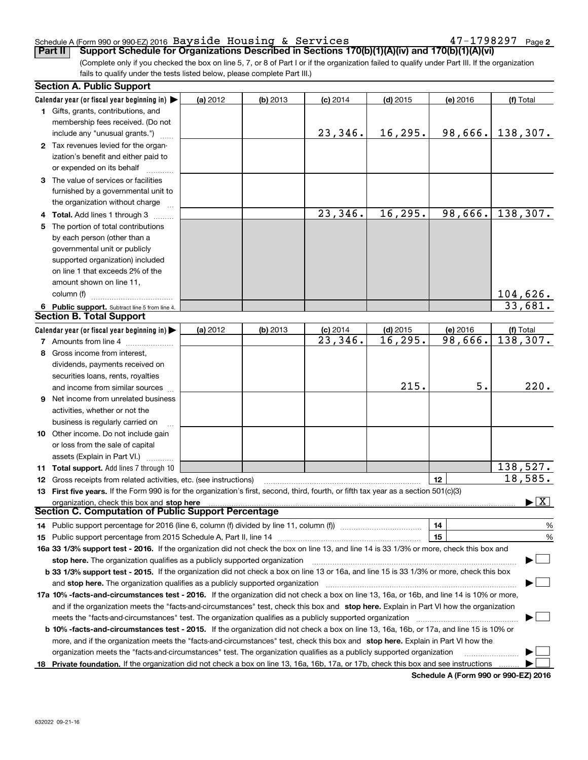### Schedule A (Form 990 or 990-EZ) 2016 Page Bayside Housing & Services 47-1798297

**2**

(Complete only if you checked the box on line 5, 7, or 8 of Part I or if the organization failed to qualify under Part III. If the organization fails to qualify under the tests listed below, please complete Part III.) **Part II Support Schedule for Organizations Described in Sections 170(b)(1)(A)(iv) and 170(b)(1)(A)(vi)** 

|    | <b>Section A. Public Support</b>                                                                                                               |          |            |                        |            |          |                                          |
|----|------------------------------------------------------------------------------------------------------------------------------------------------|----------|------------|------------------------|------------|----------|------------------------------------------|
|    | Calendar year (or fiscal year beginning in) $\blacktriangleright$                                                                              | (a) 2012 | $(b)$ 2013 | $(c)$ 2014             | $(d)$ 2015 | (e) 2016 | (f) Total                                |
|    | <b>1</b> Gifts, grants, contributions, and                                                                                                     |          |            |                        |            |          |                                          |
|    | membership fees received. (Do not                                                                                                              |          |            |                        |            |          |                                          |
|    | include any "unusual grants.")                                                                                                                 |          |            | 23,346.                | 16,295.    | 98,666.  | 138,307.                                 |
|    | 2 Tax revenues levied for the organ-                                                                                                           |          |            |                        |            |          |                                          |
|    | ization's benefit and either paid to                                                                                                           |          |            |                        |            |          |                                          |
|    | or expended on its behalf                                                                                                                      |          |            |                        |            |          |                                          |
|    | 3 The value of services or facilities                                                                                                          |          |            |                        |            |          |                                          |
|    | furnished by a governmental unit to                                                                                                            |          |            |                        |            |          |                                          |
|    | the organization without charge                                                                                                                |          |            |                        |            |          |                                          |
|    | <b>4 Total.</b> Add lines 1 through 3                                                                                                          |          |            | 23,346.                | 16, 295.   | 98,666.  | 138,307.                                 |
|    | 5 The portion of total contributions                                                                                                           |          |            |                        |            |          |                                          |
|    | by each person (other than a                                                                                                                   |          |            |                        |            |          |                                          |
|    | governmental unit or publicly                                                                                                                  |          |            |                        |            |          |                                          |
|    | supported organization) included                                                                                                               |          |            |                        |            |          |                                          |
|    | on line 1 that exceeds 2% of the                                                                                                               |          |            |                        |            |          |                                          |
|    | amount shown on line 11,                                                                                                                       |          |            |                        |            |          |                                          |
|    | column (f)                                                                                                                                     |          |            |                        |            |          | 104,626.                                 |
|    | 6 Public support. Subtract line 5 from line 4.                                                                                                 |          |            |                        |            |          | 33,681.                                  |
|    | <b>Section B. Total Support</b>                                                                                                                |          |            |                        |            |          |                                          |
|    | Calendar year (or fiscal year beginning in)                                                                                                    | (a) 2012 | $(b)$ 2013 | $(c)$ 2014             | $(d)$ 2015 | (e) 2016 | (f) Total                                |
|    | 7 Amounts from line 4                                                                                                                          |          |            | $\overline{23}$ , 346. | 16,295.    | 98,666.  | 138,307.                                 |
|    | 8 Gross income from interest,                                                                                                                  |          |            |                        |            |          |                                          |
|    | dividends, payments received on                                                                                                                |          |            |                        |            |          |                                          |
|    | securities loans, rents, royalties                                                                                                             |          |            |                        |            |          |                                          |
|    | and income from similar sources                                                                                                                |          |            |                        | 215.       | 5.       | 220.                                     |
|    | 9 Net income from unrelated business                                                                                                           |          |            |                        |            |          |                                          |
|    | activities, whether or not the                                                                                                                 |          |            |                        |            |          |                                          |
|    | business is regularly carried on                                                                                                               |          |            |                        |            |          |                                          |
|    | <b>10</b> Other income. Do not include gain                                                                                                    |          |            |                        |            |          |                                          |
|    | or loss from the sale of capital                                                                                                               |          |            |                        |            |          |                                          |
|    | assets (Explain in Part VI.)                                                                                                                   |          |            |                        |            |          |                                          |
|    | <b>11 Total support.</b> Add lines 7 through 10                                                                                                |          |            |                        |            |          | 138,527.                                 |
|    | <b>12</b> Gross receipts from related activities, etc. (see instructions)                                                                      |          |            |                        |            | 12       | 18,585.                                  |
|    | 13 First five years. If the Form 990 is for the organization's first, second, third, fourth, or fifth tax year as a section 501(c)(3)          |          |            |                        |            |          |                                          |
|    | organization, check this box and stop here                                                                                                     |          |            |                        |            |          | $\blacktriangleright$ $\boxed{\text{X}}$ |
|    | Section C. Computation of Public Support Percentage                                                                                            |          |            |                        |            |          |                                          |
|    | 14 Public support percentage for 2016 (line 6, column (f) divided by line 11, column (f) <i>manumumumumum</i>                                  |          |            |                        |            | 14       | %                                        |
|    |                                                                                                                                                |          |            |                        |            | 15       | $\%$                                     |
|    | 16a 33 1/3% support test - 2016. If the organization did not check the box on line 13, and line 14 is 33 1/3% or more, check this box and      |          |            |                        |            |          |                                          |
|    | stop here. The organization qualifies as a publicly supported organization                                                                     |          |            |                        |            |          |                                          |
|    | b 33 1/3% support test - 2015. If the organization did not check a box on line 13 or 16a, and line 15 is 33 1/3% or more, check this box       |          |            |                        |            |          |                                          |
|    | and stop here. The organization qualifies as a publicly supported organization                                                                 |          |            |                        |            |          |                                          |
|    | 17a 10% -facts-and-circumstances test - 2016. If the organization did not check a box on line 13, 16a, or 16b, and line 14 is 10% or more,     |          |            |                        |            |          |                                          |
|    | and if the organization meets the "facts-and-circumstances" test, check this box and stop here. Explain in Part VI how the organization        |          |            |                        |            |          |                                          |
|    | meets the "facts-and-circumstances" test. The organization qualifies as a publicly supported organization                                      |          |            |                        |            |          |                                          |
|    | <b>b 10% -facts-and-circumstances test - 2015.</b> If the organization did not check a box on line 13, 16a, 16b, or 17a, and line 15 is 10% or |          |            |                        |            |          |                                          |
|    | more, and if the organization meets the "facts-and-circumstances" test, check this box and stop here. Explain in Part VI how the               |          |            |                        |            |          |                                          |
|    | organization meets the "facts-and-circumstances" test. The organization qualifies as a publicly supported organization                         |          |            |                        |            |          |                                          |
| 18 | Private foundation. If the organization did not check a box on line 13, 16a, 16b, 17a, or 17b, check this box and see instructions             |          |            |                        |            |          |                                          |
|    |                                                                                                                                                |          |            |                        |            |          |                                          |

**Schedule A (Form 990 or 990-EZ) 2016**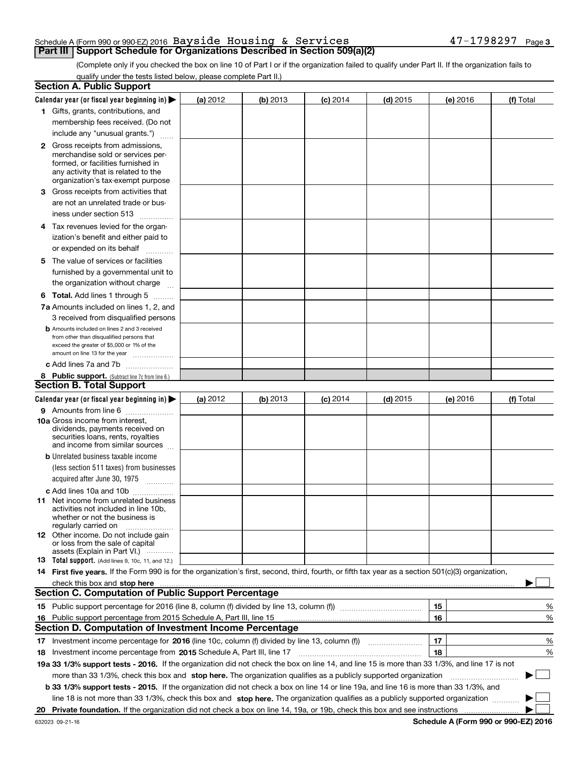### Schedule A (Form 990 or 990-EZ) 2016 Page Bayside Housing & Services 47-1798297**Part III | Support Schedule for Organizations Described in Section 509(a)(2)**

(Complete only if you checked the box on line 10 of Part I or if the organization failed to qualify under Part II. If the organization fails to qualify under the tests listed below, please complete Part II.)

|    | <b>Section A. Public Support</b>                                                                                                                    |          |          |            |            |    |          |             |   |
|----|-----------------------------------------------------------------------------------------------------------------------------------------------------|----------|----------|------------|------------|----|----------|-------------|---|
|    | Calendar year (or fiscal year beginning in) $\blacktriangleright$                                                                                   | (a) 2012 | (b) 2013 | $(c)$ 2014 | $(d)$ 2015 |    | (e) 2016 | (f) Total   |   |
|    | 1 Gifts, grants, contributions, and                                                                                                                 |          |          |            |            |    |          |             |   |
|    | membership fees received. (Do not                                                                                                                   |          |          |            |            |    |          |             |   |
|    | include any "unusual grants.")                                                                                                                      |          |          |            |            |    |          |             |   |
|    | <b>2</b> Gross receipts from admissions,                                                                                                            |          |          |            |            |    |          |             |   |
|    | merchandise sold or services per-                                                                                                                   |          |          |            |            |    |          |             |   |
|    | formed, or facilities furnished in                                                                                                                  |          |          |            |            |    |          |             |   |
|    | any activity that is related to the<br>organization's tax-exempt purpose                                                                            |          |          |            |            |    |          |             |   |
|    | 3 Gross receipts from activities that                                                                                                               |          |          |            |            |    |          |             |   |
|    | are not an unrelated trade or bus-                                                                                                                  |          |          |            |            |    |          |             |   |
|    | iness under section 513                                                                                                                             |          |          |            |            |    |          |             |   |
|    |                                                                                                                                                     |          |          |            |            |    |          |             |   |
|    | 4 Tax revenues levied for the organ-                                                                                                                |          |          |            |            |    |          |             |   |
|    | ization's benefit and either paid to                                                                                                                |          |          |            |            |    |          |             |   |
|    | or expended on its behalf<br>.                                                                                                                      |          |          |            |            |    |          |             |   |
|    | 5 The value of services or facilities                                                                                                               |          |          |            |            |    |          |             |   |
|    | furnished by a governmental unit to                                                                                                                 |          |          |            |            |    |          |             |   |
|    | the organization without charge                                                                                                                     |          |          |            |            |    |          |             |   |
|    | <b>6 Total.</b> Add lines 1 through 5                                                                                                               |          |          |            |            |    |          |             |   |
|    | 7a Amounts included on lines 1, 2, and                                                                                                              |          |          |            |            |    |          |             |   |
|    | 3 received from disqualified persons                                                                                                                |          |          |            |            |    |          |             |   |
|    | <b>b</b> Amounts included on lines 2 and 3 received                                                                                                 |          |          |            |            |    |          |             |   |
|    | from other than disqualified persons that<br>exceed the greater of \$5,000 or 1% of the                                                             |          |          |            |            |    |          |             |   |
|    | amount on line 13 for the year                                                                                                                      |          |          |            |            |    |          |             |   |
|    | c Add lines 7a and 7b                                                                                                                               |          |          |            |            |    |          |             |   |
|    | 8 Public support. (Subtract line 7c from line 6.)                                                                                                   |          |          |            |            |    |          |             |   |
|    | <b>Section B. Total Support</b>                                                                                                                     |          |          |            |            |    |          |             |   |
|    | Calendar year (or fiscal year beginning in)                                                                                                         | (a) 2012 | (b) 2013 | $(c)$ 2014 | $(d)$ 2015 |    | (e) 2016 | (f) Total   |   |
|    | 9 Amounts from line 6                                                                                                                               |          |          |            |            |    |          |             |   |
|    | <b>10a</b> Gross income from interest,                                                                                                              |          |          |            |            |    |          |             |   |
|    | dividends, payments received on                                                                                                                     |          |          |            |            |    |          |             |   |
|    | securities loans, rents, royalties<br>and income from similar sources                                                                               |          |          |            |            |    |          |             |   |
|    | <b>b</b> Unrelated business taxable income                                                                                                          |          |          |            |            |    |          |             |   |
|    | (less section 511 taxes) from businesses                                                                                                            |          |          |            |            |    |          |             |   |
|    | acquired after June 30, 1975 [10001]                                                                                                                |          |          |            |            |    |          |             |   |
|    |                                                                                                                                                     |          |          |            |            |    |          |             |   |
|    | c Add lines 10a and 10b                                                                                                                             |          |          |            |            |    |          |             |   |
|    | 11 Net income from unrelated business<br>activities not included in line 10b,                                                                       |          |          |            |            |    |          |             |   |
|    | whether or not the business is                                                                                                                      |          |          |            |            |    |          |             |   |
|    | regularly carried on                                                                                                                                |          |          |            |            |    |          |             |   |
|    | <b>12</b> Other income. Do not include gain<br>or loss from the sale of capital                                                                     |          |          |            |            |    |          |             |   |
|    | assets (Explain in Part VI.)                                                                                                                        |          |          |            |            |    |          |             |   |
|    | <b>13</b> Total support. (Add lines 9, 10c, 11, and 12.)                                                                                            |          |          |            |            |    |          |             |   |
|    | 14 First five years. If the Form 990 is for the organization's first, second, third, fourth, or fifth tax year as a section 501(c)(3) organization, |          |          |            |            |    |          |             |   |
|    | check this box and stop here measurements are constructed as the state of the state of the state and stop here                                      |          |          |            |            |    |          |             |   |
|    | <b>Section C. Computation of Public Support Percentage</b>                                                                                          |          |          |            |            |    |          |             |   |
|    |                                                                                                                                                     |          |          |            |            | 15 |          |             | % |
|    | 16 Public support percentage from 2015 Schedule A, Part III, line 15                                                                                |          |          |            |            | 16 |          |             | % |
|    | <b>Section D. Computation of Investment Income Percentage</b>                                                                                       |          |          |            |            |    |          |             |   |
| 17 | Investment income percentage for 2016 (line 10c, column (f) divided by line 13, column (f))                                                         |          |          |            |            | 17 |          |             | % |
|    | <b>18</b> Investment income percentage from <b>2015</b> Schedule A, Part III, line 17                                                               |          |          |            |            | 18 |          |             | % |
|    | 19a 33 1/3% support tests - 2016. If the organization did not check the box on line 14, and line 15 is more than 33 1/3%, and line 17 is not        |          |          |            |            |    |          |             |   |
|    | more than 33 1/3%, check this box and stop here. The organization qualifies as a publicly supported organization                                    |          |          |            |            |    |          | $\sim$<br>▶ |   |
|    | b 33 1/3% support tests - 2015. If the organization did not check a box on line 14 or line 19a, and line 16 is more than 33 1/3%, and               |          |          |            |            |    |          |             |   |
|    | line 18 is not more than 33 1/3%, check this box and stop here. The organization qualifies as a publicly supported organization                     |          |          |            |            |    |          |             |   |
| 20 |                                                                                                                                                     |          |          |            |            |    |          |             |   |
|    |                                                                                                                                                     |          |          |            |            |    |          |             |   |

**Schedule A (Form 990 or 990-EZ) 2016**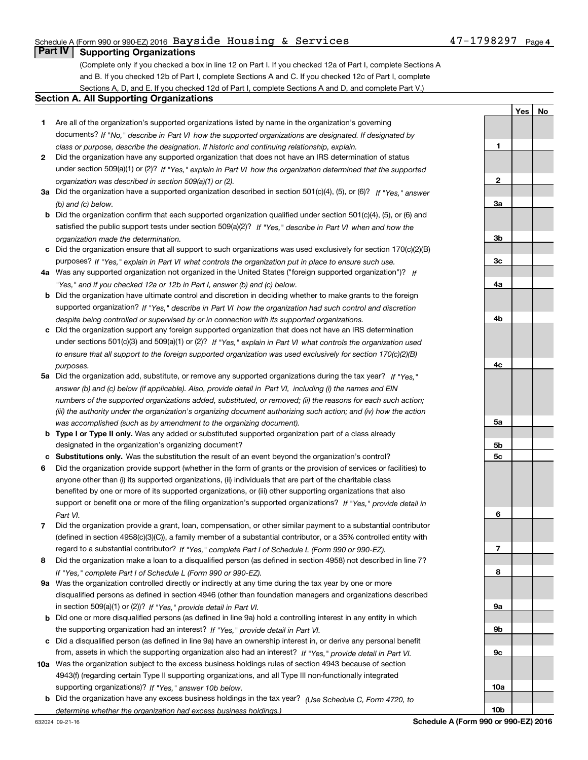### Schedule A (Form 990 or 990-EZ) 2016 Page Bayside Housing & Services 47-1798297

### **Part IV Supporting Organizations**

(Complete only if you checked a box in line 12 on Part I. If you checked 12a of Part I, complete Sections A and B. If you checked 12b of Part I, complete Sections A and C. If you checked 12c of Part I, complete Sections A, D, and E. If you checked 12d of Part I, complete Sections A and D, and complete Part V.)

### **Section A. All Supporting Organizations**

- **1** Are all of the organization's supported organizations listed by name in the organization's governing documents? If "No," describe in Part VI how the supported organizations are designated. If designated by *class or purpose, describe the designation. If historic and continuing relationship, explain.*
- **2** Did the organization have any supported organization that does not have an IRS determination of status under section 509(a)(1) or (2)? If "Yes," explain in Part VI how the organization determined that the supported *organization was described in section 509(a)(1) or (2).*
- **3a** Did the organization have a supported organization described in section 501(c)(4), (5), or (6)? If "Yes," answer *(b) and (c) below.*
- **b** Did the organization confirm that each supported organization qualified under section 501(c)(4), (5), or (6) and satisfied the public support tests under section 509(a)(2)? If "Yes," describe in Part VI when and how the *organization made the determination.*
- **c**Did the organization ensure that all support to such organizations was used exclusively for section 170(c)(2)(B) purposes? If "Yes," explain in Part VI what controls the organization put in place to ensure such use.
- **4a***If* Was any supported organization not organized in the United States ("foreign supported organization")? *"Yes," and if you checked 12a or 12b in Part I, answer (b) and (c) below.*
- **b** Did the organization have ultimate control and discretion in deciding whether to make grants to the foreign supported organization? If "Yes," describe in Part VI how the organization had such control and discretion *despite being controlled or supervised by or in connection with its supported organizations.*
- **c** Did the organization support any foreign supported organization that does not have an IRS determination under sections 501(c)(3) and 509(a)(1) or (2)? If "Yes," explain in Part VI what controls the organization used *to ensure that all support to the foreign supported organization was used exclusively for section 170(c)(2)(B) purposes.*
- **5a***If "Yes,"* Did the organization add, substitute, or remove any supported organizations during the tax year? answer (b) and (c) below (if applicable). Also, provide detail in Part VI, including (i) the names and EIN *numbers of the supported organizations added, substituted, or removed; (ii) the reasons for each such action; (iii) the authority under the organization's organizing document authorizing such action; and (iv) how the action was accomplished (such as by amendment to the organizing document).*
- **b** Type I or Type II only. Was any added or substituted supported organization part of a class already designated in the organization's organizing document?
- **cSubstitutions only.**  Was the substitution the result of an event beyond the organization's control?
- **6** Did the organization provide support (whether in the form of grants or the provision of services or facilities) to *If "Yes," provide detail in* support or benefit one or more of the filing organization's supported organizations? anyone other than (i) its supported organizations, (ii) individuals that are part of the charitable class benefited by one or more of its supported organizations, or (iii) other supporting organizations that also *Part VI.*
- **7**Did the organization provide a grant, loan, compensation, or other similar payment to a substantial contributor *If "Yes," complete Part I of Schedule L (Form 990 or 990-EZ).* regard to a substantial contributor? (defined in section 4958(c)(3)(C)), a family member of a substantial contributor, or a 35% controlled entity with
- **8** Did the organization make a loan to a disqualified person (as defined in section 4958) not described in line 7? *If "Yes," complete Part I of Schedule L (Form 990 or 990-EZ).*
- **9a** Was the organization controlled directly or indirectly at any time during the tax year by one or more in section 509(a)(1) or (2))? If "Yes," *provide detail in Part VI.* disqualified persons as defined in section 4946 (other than foundation managers and organizations described
- **b** Did one or more disqualified persons (as defined in line 9a) hold a controlling interest in any entity in which the supporting organization had an interest? If "Yes," provide detail in Part VI.
- **c**Did a disqualified person (as defined in line 9a) have an ownership interest in, or derive any personal benefit from, assets in which the supporting organization also had an interest? If "Yes," provide detail in Part VI.
- **10a** Was the organization subject to the excess business holdings rules of section 4943 because of section supporting organizations)? If "Yes," answer 10b below. 4943(f) (regarding certain Type II supporting organizations, and all Type III non-functionally integrated
- **b** Did the organization have any excess business holdings in the tax year? (Use Schedule C, Form 4720, to *determine whether the organization had excess business holdings.)*

**1**

**2**

**3a**

**3b**

**3c**

**4a**

**4b**

**4c**

**5a**

**5b5c**

**6**

**7**

**8**

**9a**

**9b**

**9c**

**10a**

**10b**

**YesNo**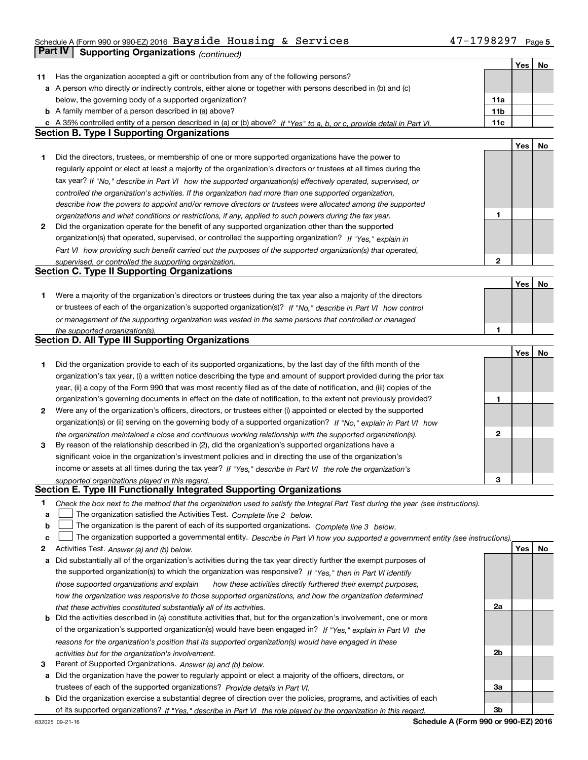### Schedule A (Form 990 or 990-EZ) 2016 Page Bayside Housing & Services 47-1798297**Part IV** Supporting Organizations (*continued*)

|    |                                                                                                                                                                                                                      |                 | Yes | No |
|----|----------------------------------------------------------------------------------------------------------------------------------------------------------------------------------------------------------------------|-----------------|-----|----|
| 11 | Has the organization accepted a gift or contribution from any of the following persons?                                                                                                                              |                 |     |    |
|    | a A person who directly or indirectly controls, either alone or together with persons described in (b) and (c)                                                                                                       |                 |     |    |
|    | below, the governing body of a supported organization?                                                                                                                                                               | 11a             |     |    |
|    | <b>b</b> A family member of a person described in (a) above?                                                                                                                                                         | 11 <sub>b</sub> |     |    |
|    | c A 35% controlled entity of a person described in (a) or (b) above? If "Yes" to a, b, or c, provide detail in Part VI.                                                                                              | 11c             |     |    |
|    | <b>Section B. Type I Supporting Organizations</b>                                                                                                                                                                    |                 |     |    |
|    |                                                                                                                                                                                                                      |                 | Yes | No |
| 1  | Did the directors, trustees, or membership of one or more supported organizations have the power to                                                                                                                  |                 |     |    |
|    | regularly appoint or elect at least a majority of the organization's directors or trustees at all times during the                                                                                                   |                 |     |    |
|    | tax year? If "No," describe in Part VI how the supported organization(s) effectively operated, supervised, or                                                                                                        |                 |     |    |
|    |                                                                                                                                                                                                                      |                 |     |    |
|    | controlled the organization's activities. If the organization had more than one supported organization,                                                                                                              |                 |     |    |
|    | describe how the powers to appoint and/or remove directors or trustees were allocated among the supported                                                                                                            |                 |     |    |
|    | organizations and what conditions or restrictions, if any, applied to such powers during the tax year.                                                                                                               | 1               |     |    |
| 2  | Did the organization operate for the benefit of any supported organization other than the supported                                                                                                                  |                 |     |    |
|    | organization(s) that operated, supervised, or controlled the supporting organization? If "Yes," explain in                                                                                                           |                 |     |    |
|    | Part VI how providing such benefit carried out the purposes of the supported organization(s) that operated,                                                                                                          |                 |     |    |
|    | supervised, or controlled the supporting organization.                                                                                                                                                               | 2               |     |    |
|    | <b>Section C. Type II Supporting Organizations</b>                                                                                                                                                                   |                 |     |    |
|    |                                                                                                                                                                                                                      |                 | Yes | No |
| 1. | Were a majority of the organization's directors or trustees during the tax year also a majority of the directors                                                                                                     |                 |     |    |
|    | or trustees of each of the organization's supported organization(s)? If "No," describe in Part VI how control                                                                                                        |                 |     |    |
|    | or management of the supporting organization was vested in the same persons that controlled or managed                                                                                                               |                 |     |    |
|    | the supported organization(s).                                                                                                                                                                                       | 1               |     |    |
|    | Section D. All Type III Supporting Organizations                                                                                                                                                                     |                 |     |    |
|    |                                                                                                                                                                                                                      |                 | Yes | No |
| 1  | Did the organization provide to each of its supported organizations, by the last day of the fifth month of the                                                                                                       |                 |     |    |
|    | organization's tax year, (i) a written notice describing the type and amount of support provided during the prior tax                                                                                                |                 |     |    |
|    | year, (ii) a copy of the Form 990 that was most recently filed as of the date of notification, and (iii) copies of the                                                                                               |                 |     |    |
|    | organization's governing documents in effect on the date of notification, to the extent not previously provided?                                                                                                     | 1               |     |    |
| 2  | Were any of the organization's officers, directors, or trustees either (i) appointed or elected by the supported                                                                                                     |                 |     |    |
|    | organization(s) or (ii) serving on the governing body of a supported organization? If "No," explain in Part VI how                                                                                                   |                 |     |    |
|    |                                                                                                                                                                                                                      | 2               |     |    |
| 3  | the organization maintained a close and continuous working relationship with the supported organization(s).<br>By reason of the relationship described in (2), did the organization's supported organizations have a |                 |     |    |
|    |                                                                                                                                                                                                                      |                 |     |    |
|    | significant voice in the organization's investment policies and in directing the use of the organization's                                                                                                           |                 |     |    |
|    | income or assets at all times during the tax year? If "Yes," describe in Part VI the role the organization's                                                                                                         |                 |     |    |
|    | supported organizations played in this regard.<br>Section E. Type III Functionally Integrated Supporting Organizations                                                                                               | з               |     |    |
|    |                                                                                                                                                                                                                      |                 |     |    |
| 1  | Check the box next to the method that the organization used to satisfy the Integral Part Test during the year (see instructions).                                                                                    |                 |     |    |
| a  | The organization satisfied the Activities Test. Complete line 2 below.                                                                                                                                               |                 |     |    |
| b  | The organization is the parent of each of its supported organizations. Complete line 3 below.                                                                                                                        |                 |     |    |
| с  | The organization supported a governmental entity. Describe in Part VI how you supported a government entity (see instructions).                                                                                      |                 |     |    |
| 2  | Activities Test. Answer (a) and (b) below.                                                                                                                                                                           |                 | Yes | No |
| а  | Did substantially all of the organization's activities during the tax year directly further the exempt purposes of                                                                                                   |                 |     |    |
|    | the supported organization(s) to which the organization was responsive? If "Yes," then in Part VI identify                                                                                                           |                 |     |    |
|    | those supported organizations and explain<br>how these activities directly furthered their exempt purposes,                                                                                                          |                 |     |    |
|    | how the organization was responsive to those supported organizations, and how the organization determined                                                                                                            |                 |     |    |
|    | that these activities constituted substantially all of its activities.                                                                                                                                               | 2a              |     |    |
|    | <b>b</b> Did the activities described in (a) constitute activities that, but for the organization's involvement, one or more                                                                                         |                 |     |    |
|    | of the organization's supported organization(s) would have been engaged in? If "Yes," explain in Part VI the                                                                                                         |                 |     |    |
|    | reasons for the organization's position that its supported organization(s) would have engaged in these                                                                                                               |                 |     |    |
|    | activities but for the organization's involvement.                                                                                                                                                                   | 2b              |     |    |
| 3  | Parent of Supported Organizations. Answer (a) and (b) below.                                                                                                                                                         |                 |     |    |
| а  | Did the organization have the power to regularly appoint or elect a majority of the officers, directors, or                                                                                                          |                 |     |    |
|    | trustees of each of the supported organizations? Provide details in Part VI.                                                                                                                                         | За              |     |    |
|    | <b>b</b> Did the organization exercise a substantial degree of direction over the policies, programs, and activities of each                                                                                         |                 |     |    |
|    | of its supported organizations? If "Yes." describe in Part VI the role played by the organization in this regard.                                                                                                    | 3b              |     |    |
|    |                                                                                                                                                                                                                      |                 |     |    |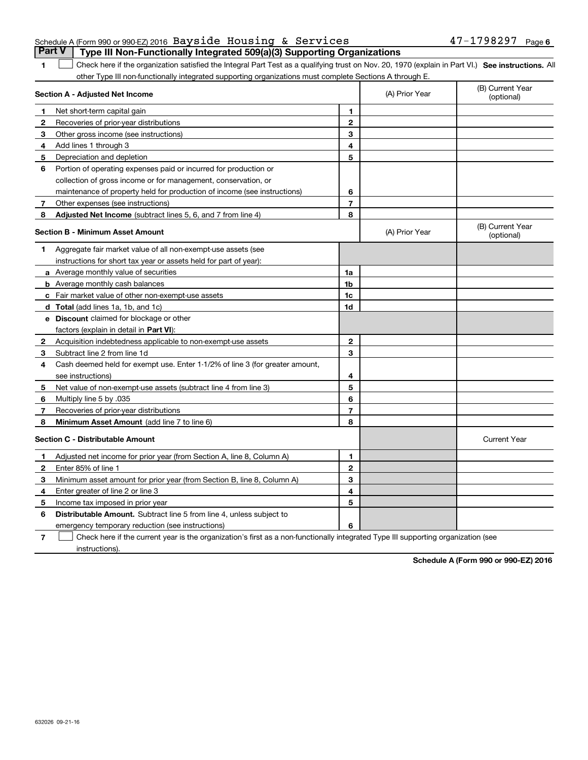### Schedule A (Form 990 or 990-EZ) 2016 Page Bayside Housing & Services 47-1798297**Part V** Type III Non-Functionally Integrated 509(a)(3) Supporting Organizations

**SEP 10. See instructions.** All antegral Part Test as a qualifying trust on Nov. 20, 1970 (explain in Part VI.) See instructions. All other Type III non-functionally integrated supporting organizations must complete Sections A through E. ×.

|              | Section A - Adjusted Net Income                                              |                | (A) Prior Year | (B) Current Year<br>(optional) |
|--------------|------------------------------------------------------------------------------|----------------|----------------|--------------------------------|
| 1            | Net short-term capital gain                                                  | 1              |                |                                |
| 2            | Recoveries of prior-year distributions                                       | $\overline{2}$ |                |                                |
| 3            | Other gross income (see instructions)                                        | 3              |                |                                |
| 4            | Add lines 1 through 3                                                        | 4              |                |                                |
| 5            | Depreciation and depletion                                                   | 5              |                |                                |
| 6            | Portion of operating expenses paid or incurred for production or             |                |                |                                |
|              | collection of gross income or for management, conservation, or               |                |                |                                |
|              | maintenance of property held for production of income (see instructions)     | 6              |                |                                |
| 7            | Other expenses (see instructions)                                            | $\overline{7}$ |                |                                |
| 8            | Adjusted Net Income (subtract lines 5, 6, and 7 from line 4)                 | 8              |                |                                |
|              | <b>Section B - Minimum Asset Amount</b>                                      |                | (A) Prior Year | (B) Current Year<br>(optional) |
| 1.           | Aggregate fair market value of all non-exempt-use assets (see                |                |                |                                |
|              | instructions for short tax year or assets held for part of year):            |                |                |                                |
|              | a Average monthly value of securities                                        | 1a             |                |                                |
|              | <b>b</b> Average monthly cash balances                                       | 1 <sub>b</sub> |                |                                |
|              | c Fair market value of other non-exempt-use assets                           | 1c             |                |                                |
|              | <b>d</b> Total (add lines 1a, 1b, and 1c)                                    | 1d             |                |                                |
|              | e Discount claimed for blockage or other                                     |                |                |                                |
|              | factors (explain in detail in Part VI):                                      |                |                |                                |
| $\mathbf{2}$ | Acquisition indebtedness applicable to non-exempt-use assets                 | $\mathbf{2}$   |                |                                |
| 3            | Subtract line 2 from line 1d                                                 | 3              |                |                                |
| 4            | Cash deemed held for exempt use. Enter 1-1/2% of line 3 (for greater amount, |                |                |                                |
|              | see instructions)                                                            | 4              |                |                                |
| 5            | Net value of non-exempt-use assets (subtract line 4 from line 3)             | 5              |                |                                |
| 6            | Multiply line 5 by .035                                                      | 6              |                |                                |
| 7            | Recoveries of prior-year distributions                                       | $\overline{7}$ |                |                                |
| 8            | Minimum Asset Amount (add line 7 to line 6)                                  | 8              |                |                                |
|              | <b>Section C - Distributable Amount</b>                                      |                |                | <b>Current Year</b>            |
| 1            | Adjusted net income for prior year (from Section A, line 8, Column A)        | 1              |                |                                |
| $\mathbf{2}$ | Enter 85% of line 1                                                          | $\overline{2}$ |                |                                |
| 3            | Minimum asset amount for prior year (from Section B, line 8, Column A)       | 3              |                |                                |
| 4            | Enter greater of line 2 or line 3                                            | 4              |                |                                |
| 5            | Income tax imposed in prior year                                             | 5              |                |                                |
| 6            | Distributable Amount. Subtract line 5 from line 4, unless subject to         |                |                |                                |
|              | emergency temporary reduction (see instructions)                             | 6              |                |                                |
|              |                                                                              |                |                |                                |

**7**Check here if the current year is the organization's first as a non-functionally integrated Type III supporting organization (see instructions).

**Schedule A (Form 990 or 990-EZ) 2016**

**1**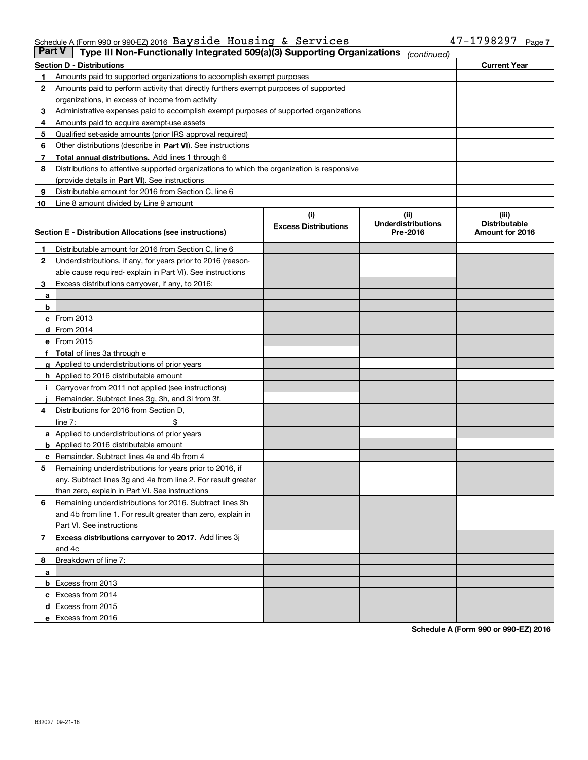### Schedule A (Form 990 or 990-EZ) 2016 Page Bayside Housing & Services 47-1798297

| Part V | Type III Non-Functionally Integrated 509(a)(3) Supporting Organizations                    |                             | (continued)               |                      |  |  |  |  |  |  |
|--------|--------------------------------------------------------------------------------------------|-----------------------------|---------------------------|----------------------|--|--|--|--|--|--|
|        | <b>Section D - Distributions</b>                                                           |                             |                           | <b>Current Year</b>  |  |  |  |  |  |  |
| 1      | Amounts paid to supported organizations to accomplish exempt purposes                      |                             |                           |                      |  |  |  |  |  |  |
| 2      | Amounts paid to perform activity that directly furthers exempt purposes of supported       |                             |                           |                      |  |  |  |  |  |  |
|        | organizations, in excess of income from activity                                           |                             |                           |                      |  |  |  |  |  |  |
| 3      | Administrative expenses paid to accomplish exempt purposes of supported organizations      |                             |                           |                      |  |  |  |  |  |  |
| 4      | Amounts paid to acquire exempt-use assets                                                  |                             |                           |                      |  |  |  |  |  |  |
| 5      | Qualified set-aside amounts (prior IRS approval required)                                  |                             |                           |                      |  |  |  |  |  |  |
| 6      | Other distributions (describe in Part VI). See instructions                                |                             |                           |                      |  |  |  |  |  |  |
| 7      | Total annual distributions. Add lines 1 through 6                                          |                             |                           |                      |  |  |  |  |  |  |
| 8      | Distributions to attentive supported organizations to which the organization is responsive |                             |                           |                      |  |  |  |  |  |  |
|        | (provide details in Part VI). See instructions                                             |                             |                           |                      |  |  |  |  |  |  |
| 9      | Distributable amount for 2016 from Section C, line 6                                       |                             |                           |                      |  |  |  |  |  |  |
| 10     | Line 8 amount divided by Line 9 amount                                                     |                             |                           |                      |  |  |  |  |  |  |
|        |                                                                                            | (i)                         | (iii)                     | (iii)                |  |  |  |  |  |  |
|        |                                                                                            | <b>Excess Distributions</b> | <b>Underdistributions</b> | <b>Distributable</b> |  |  |  |  |  |  |
|        | Section E - Distribution Allocations (see instructions)                                    |                             | Pre-2016                  | Amount for 2016      |  |  |  |  |  |  |
| 1      | Distributable amount for 2016 from Section C, line 6                                       |                             |                           |                      |  |  |  |  |  |  |
| 2      | Underdistributions, if any, for years prior to 2016 (reason-                               |                             |                           |                      |  |  |  |  |  |  |
|        | able cause required-explain in Part VI). See instructions                                  |                             |                           |                      |  |  |  |  |  |  |
| 3      | Excess distributions carryover, if any, to 2016:                                           |                             |                           |                      |  |  |  |  |  |  |
| а      |                                                                                            |                             |                           |                      |  |  |  |  |  |  |
| b      |                                                                                            |                             |                           |                      |  |  |  |  |  |  |
|        | $c$ From 2013                                                                              |                             |                           |                      |  |  |  |  |  |  |
|        | $d$ From 2014                                                                              |                             |                           |                      |  |  |  |  |  |  |
|        | e From 2015                                                                                |                             |                           |                      |  |  |  |  |  |  |
|        | Total of lines 3a through e                                                                |                             |                           |                      |  |  |  |  |  |  |
|        | <b>g</b> Applied to underdistributions of prior years                                      |                             |                           |                      |  |  |  |  |  |  |
|        | <b>h</b> Applied to 2016 distributable amount                                              |                             |                           |                      |  |  |  |  |  |  |
|        | Carryover from 2011 not applied (see instructions)                                         |                             |                           |                      |  |  |  |  |  |  |
|        | Remainder. Subtract lines 3g, 3h, and 3i from 3f.                                          |                             |                           |                      |  |  |  |  |  |  |
| 4      | Distributions for 2016 from Section D,                                                     |                             |                           |                      |  |  |  |  |  |  |
|        | line $7:$                                                                                  |                             |                           |                      |  |  |  |  |  |  |
|        | <b>a</b> Applied to underdistributions of prior years                                      |                             |                           |                      |  |  |  |  |  |  |
|        | <b>b</b> Applied to 2016 distributable amount                                              |                             |                           |                      |  |  |  |  |  |  |
|        | Remainder. Subtract lines 4a and 4b from 4                                                 |                             |                           |                      |  |  |  |  |  |  |
| 5      | Remaining underdistributions for years prior to 2016, if                                   |                             |                           |                      |  |  |  |  |  |  |
|        | any. Subtract lines 3g and 4a from line 2. For result greater                              |                             |                           |                      |  |  |  |  |  |  |
|        | than zero, explain in Part VI. See instructions                                            |                             |                           |                      |  |  |  |  |  |  |
| 6      | Remaining underdistributions for 2016. Subtract lines 3h                                   |                             |                           |                      |  |  |  |  |  |  |
|        | and 4b from line 1. For result greater than zero, explain in                               |                             |                           |                      |  |  |  |  |  |  |
|        | Part VI. See instructions                                                                  |                             |                           |                      |  |  |  |  |  |  |
| 7      | Excess distributions carryover to 2017. Add lines 3j                                       |                             |                           |                      |  |  |  |  |  |  |
|        | and 4c                                                                                     |                             |                           |                      |  |  |  |  |  |  |
| 8      | Breakdown of line 7:                                                                       |                             |                           |                      |  |  |  |  |  |  |
| a      |                                                                                            |                             |                           |                      |  |  |  |  |  |  |
|        | b Excess from 2013                                                                         |                             |                           |                      |  |  |  |  |  |  |
|        | c Excess from 2014                                                                         |                             |                           |                      |  |  |  |  |  |  |
|        | <b>d</b> Excess from 2015                                                                  |                             |                           |                      |  |  |  |  |  |  |
|        | e Excess from 2016                                                                         |                             |                           |                      |  |  |  |  |  |  |

**Schedule A (Form 990 or 990-EZ) 2016**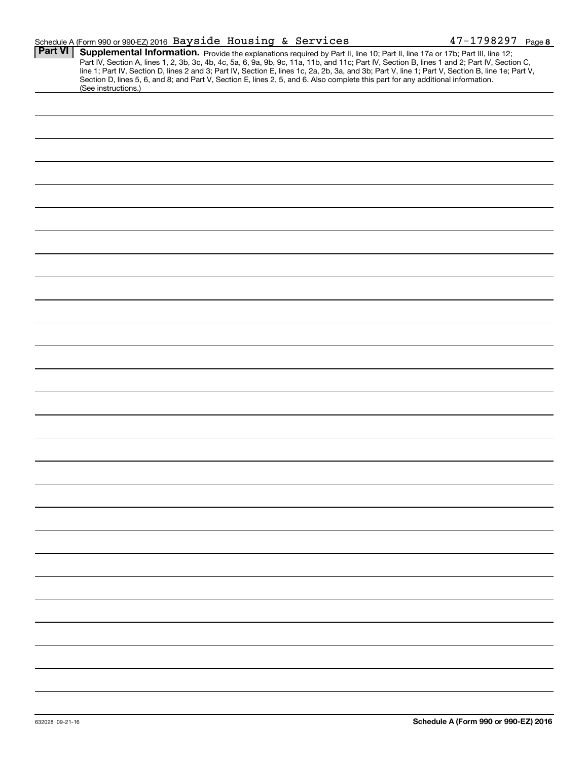|                | Schedule A (Form 990 or 990-EZ) 2016 Bayside Housing & Services                                                                                                                                                                                                                                                                                                                                                                                                                                                                                                                             | $47 - 1798297$ Page 8 |
|----------------|---------------------------------------------------------------------------------------------------------------------------------------------------------------------------------------------------------------------------------------------------------------------------------------------------------------------------------------------------------------------------------------------------------------------------------------------------------------------------------------------------------------------------------------------------------------------------------------------|-----------------------|
| <b>Part VI</b> | Supplemental Information. Provide the explanations required by Part II, line 10; Part II, line 17a or 17b; Part III, line 12;<br>Part IV, Section A, lines 1, 2, 3b, 3c, 4b, 4c, 5a, 6, 9a, 9b, 9c, 11a, 11b, and 11c; Part IV, Section B, lines 1 and 2; Part IV, Section C,<br>line 1; Part IV, Section D, lines 2 and 3; Part IV, Section E, lines 1c, 2a, 2b, 3a, and 3b; Part V, line 1; Part V, Section B, line 1e; Part V,<br>Section D, lines 5, 6, and 8; and Part V, Section E, lines 2, 5, and 6. Also complete this part for any additional information.<br>(See instructions.) |                       |
|                |                                                                                                                                                                                                                                                                                                                                                                                                                                                                                                                                                                                             |                       |
|                |                                                                                                                                                                                                                                                                                                                                                                                                                                                                                                                                                                                             |                       |
|                |                                                                                                                                                                                                                                                                                                                                                                                                                                                                                                                                                                                             |                       |
|                |                                                                                                                                                                                                                                                                                                                                                                                                                                                                                                                                                                                             |                       |
|                |                                                                                                                                                                                                                                                                                                                                                                                                                                                                                                                                                                                             |                       |
|                |                                                                                                                                                                                                                                                                                                                                                                                                                                                                                                                                                                                             |                       |
|                |                                                                                                                                                                                                                                                                                                                                                                                                                                                                                                                                                                                             |                       |
|                |                                                                                                                                                                                                                                                                                                                                                                                                                                                                                                                                                                                             |                       |
|                |                                                                                                                                                                                                                                                                                                                                                                                                                                                                                                                                                                                             |                       |
|                |                                                                                                                                                                                                                                                                                                                                                                                                                                                                                                                                                                                             |                       |
|                |                                                                                                                                                                                                                                                                                                                                                                                                                                                                                                                                                                                             |                       |
|                |                                                                                                                                                                                                                                                                                                                                                                                                                                                                                                                                                                                             |                       |
|                |                                                                                                                                                                                                                                                                                                                                                                                                                                                                                                                                                                                             |                       |
|                |                                                                                                                                                                                                                                                                                                                                                                                                                                                                                                                                                                                             |                       |
|                |                                                                                                                                                                                                                                                                                                                                                                                                                                                                                                                                                                                             |                       |
|                |                                                                                                                                                                                                                                                                                                                                                                                                                                                                                                                                                                                             |                       |
|                |                                                                                                                                                                                                                                                                                                                                                                                                                                                                                                                                                                                             |                       |
|                |                                                                                                                                                                                                                                                                                                                                                                                                                                                                                                                                                                                             |                       |
|                |                                                                                                                                                                                                                                                                                                                                                                                                                                                                                                                                                                                             |                       |
|                |                                                                                                                                                                                                                                                                                                                                                                                                                                                                                                                                                                                             |                       |
|                |                                                                                                                                                                                                                                                                                                                                                                                                                                                                                                                                                                                             |                       |
|                |                                                                                                                                                                                                                                                                                                                                                                                                                                                                                                                                                                                             |                       |
|                |                                                                                                                                                                                                                                                                                                                                                                                                                                                                                                                                                                                             |                       |
|                |                                                                                                                                                                                                                                                                                                                                                                                                                                                                                                                                                                                             |                       |
|                |                                                                                                                                                                                                                                                                                                                                                                                                                                                                                                                                                                                             |                       |
|                |                                                                                                                                                                                                                                                                                                                                                                                                                                                                                                                                                                                             |                       |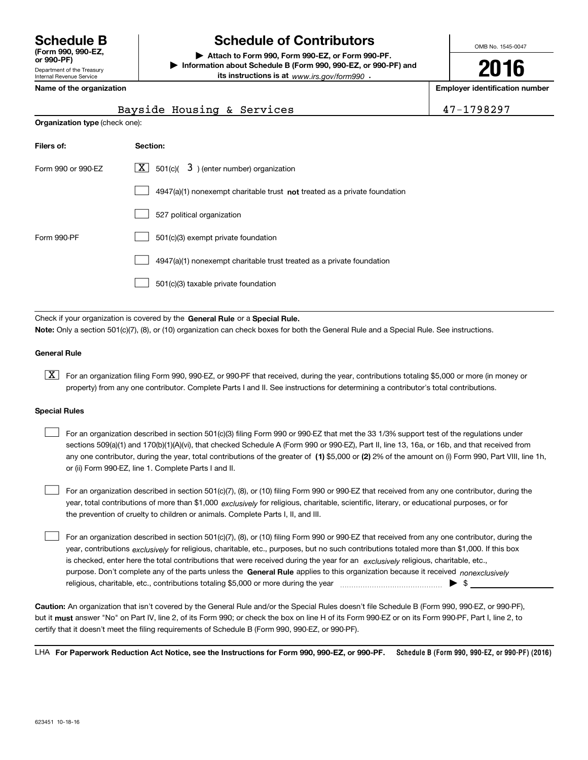Department of the Treasury Internal Revenue Service **(Form 990, 990-EZ, or 990-PF)**

# **Schedule B Schedule of Contributors**

**| Attach to Form 990, Form 990-EZ, or Form 990-PF. | Information about Schedule B (Form 990, 990-EZ, or 990-PF) and its instructions is at** www.irs.gov/form990  $\cdot$ 

OMB No. 1545-0047

**2016**

**Name of the organization Employer identification number**

|  | Bayside Housing & Services | 47-1798297 |
|--|----------------------------|------------|
|  |                            |            |

|  | Name of the organization |
|--|--------------------------|
|--|--------------------------|

| <b>Organization type (check one):</b> |                                                                                    |  |  |  |  |
|---------------------------------------|------------------------------------------------------------------------------------|--|--|--|--|
| Filers of:                            | Section:                                                                           |  |  |  |  |
| Form 990 or 990-EZ                    | $\lfloor x \rfloor$ 501(c)( 3) (enter number) organization                         |  |  |  |  |
|                                       | $4947(a)(1)$ nonexempt charitable trust <b>not</b> treated as a private foundation |  |  |  |  |
|                                       | 527 political organization                                                         |  |  |  |  |
| Form 990-PF                           | 501(c)(3) exempt private foundation                                                |  |  |  |  |
|                                       | 4947(a)(1) nonexempt charitable trust treated as a private foundation              |  |  |  |  |
|                                       | 501(c)(3) taxable private foundation                                               |  |  |  |  |

Check if your organization is covered by the **General Rule** or a **Special Rule. Note:**  Only a section 501(c)(7), (8), or (10) organization can check boxes for both the General Rule and a Special Rule. See instructions.

### **General Rule**

 $\boxed{\textbf{X}}$  For an organization filing Form 990, 990-EZ, or 990-PF that received, during the year, contributions totaling \$5,000 or more (in money or property) from any one contributor. Complete Parts I and II. See instructions for determining a contributor's total contributions.

#### **Special Rules**

 $\mathcal{L}^{\text{max}}$ 

any one contributor, during the year, total contributions of the greater of  $\,$  (1) \$5,000 or (2) 2% of the amount on (i) Form 990, Part VIII, line 1h, For an organization described in section 501(c)(3) filing Form 990 or 990-EZ that met the 33 1/3% support test of the regulations under sections 509(a)(1) and 170(b)(1)(A)(vi), that checked Schedule A (Form 990 or 990-EZ), Part II, line 13, 16a, or 16b, and that received from or (ii) Form 990-EZ, line 1. Complete Parts I and II.  $\mathcal{L}^{\text{max}}$ 

year, total contributions of more than \$1,000 *exclusively* for religious, charitable, scientific, literary, or educational purposes, or for For an organization described in section 501(c)(7), (8), or (10) filing Form 990 or 990-EZ that received from any one contributor, during the the prevention of cruelty to children or animals. Complete Parts I, II, and III.  $\mathcal{L}^{\text{max}}$ 

purpose. Don't complete any of the parts unless the **General Rule** applies to this organization because it received *nonexclusively* year, contributions <sub>exclusively</sub> for religious, charitable, etc., purposes, but no such contributions totaled more than \$1,000. If this box is checked, enter here the total contributions that were received during the year for an  $\;$ exclusively religious, charitable, etc., For an organization described in section 501(c)(7), (8), or (10) filing Form 990 or 990-EZ that received from any one contributor, during the religious, charitable, etc., contributions totaling \$5,000 or more during the year  $\ldots$  $\ldots$  $\ldots$  $\ldots$  $\ldots$  $\ldots$ 

**Caution:**  An organization that isn't covered by the General Rule and/or the Special Rules doesn't file Schedule B (Form 990, 990-EZ, or 990-PF),  **must** but it answer "No" on Part IV, line 2, of its Form 990; or check the box on line H of its Form 990-EZ or on its Form 990-PF, Part I, line 2, to certify that it doesn't meet the filing requirements of Schedule B (Form 990, 990-EZ, or 990-PF).

**Schedule B (Form 990, 990-EZ, or 990-PF) (2016) For Paperwork Reduction Act Notice, see the Instructions for Form 990, 990-EZ, or 990-PF.** LHA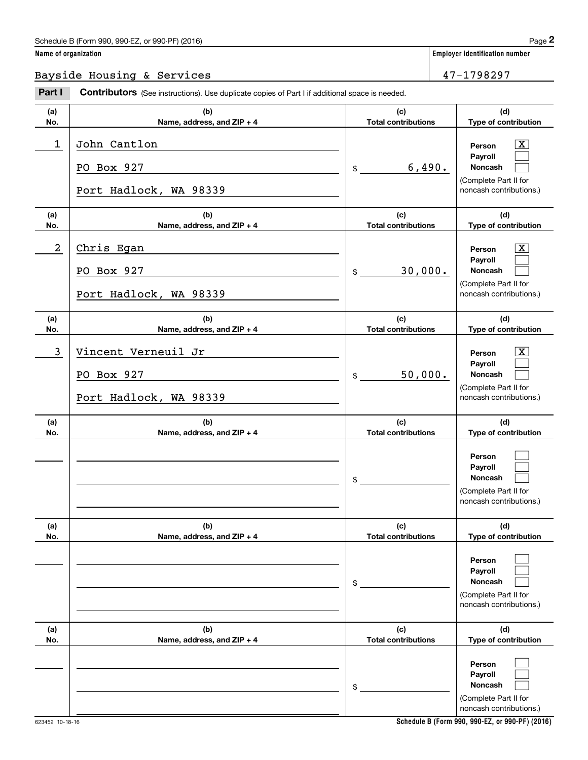## Schedule B (Form 990, 990-EZ, or 990-PF) (2016) Page 2

**Name of organization Employer identification number**

## Bayside Housing & Services 47-1798297

Chedule B (Form 990, 990-EZ, or 990-PF) (2016)<br> **2 ame of organization**<br>
3 ayside Housing & Services<br> **Part I Contributors** (See instructions). Use duplicate copies of Part I if additional space is needed.

| (a)<br>No. | (b)<br>Name, address, and ZIP + 4                           | (c)<br><b>Total contributions</b> | (d)<br>Type of contribution                                                             |
|------------|-------------------------------------------------------------|-----------------------------------|-----------------------------------------------------------------------------------------|
| 1          | John Cantlon<br>PO Box 927<br>Port Hadlock, WA 98339        | 6,490.<br>\$                      | x<br>Person<br>Payroll<br>Noncash<br>(Complete Part II for<br>noncash contributions.)   |
| (a)<br>No. | (b)<br>Name, address, and ZIP + 4                           | (c)<br><b>Total contributions</b> | (d)<br>Type of contribution                                                             |
| 2          | Chris Egan<br>PO Box 927<br>Port Hadlock, WA 98339          | 30,000.<br>$\frac{1}{2}$          | х<br>Person<br>Payroll<br>Noncash<br>(Complete Part II for<br>noncash contributions.)   |
| (a)<br>No. | (b)<br>Name, address, and ZIP + 4                           | (c)<br><b>Total contributions</b> | (d)<br>Type of contribution                                                             |
| 3          | Vincent Verneuil Jr<br>PO Box 927<br>Port Hadlock, WA 98339 | 50,000.<br>$\frac{1}{2}$          | X<br>Person<br>Payroll<br>Noncash<br>(Complete Part II for<br>noncash contributions.)   |
| (a)<br>No. | (b)<br>Name, address, and $ZIP + 4$                         | (c)<br><b>Total contributions</b> | (d)<br>Type of contribution                                                             |
|            |                                                             | \$                                | Person<br>Payroll<br>Noncash<br>(Complete Part II for<br>noncash contributions.)        |
| (a)<br>No. | (b)<br>Name, address, and ZIP + 4                           | (c)<br><b>Total contributions</b> | (d)<br>Type of contribution                                                             |
|            |                                                             | \$                                | Person<br>Payroll<br><b>Noncash</b><br>(Complete Part II for<br>noncash contributions.) |
| (a)<br>No. | (b)<br>Name, address, and ZIP + 4                           | (c)<br><b>Total contributions</b> | (d)<br>Type of contribution                                                             |
|            |                                                             | \$                                | Person<br>Payroll<br><b>Noncash</b><br>(Complete Part II for<br>noncash contributions.) |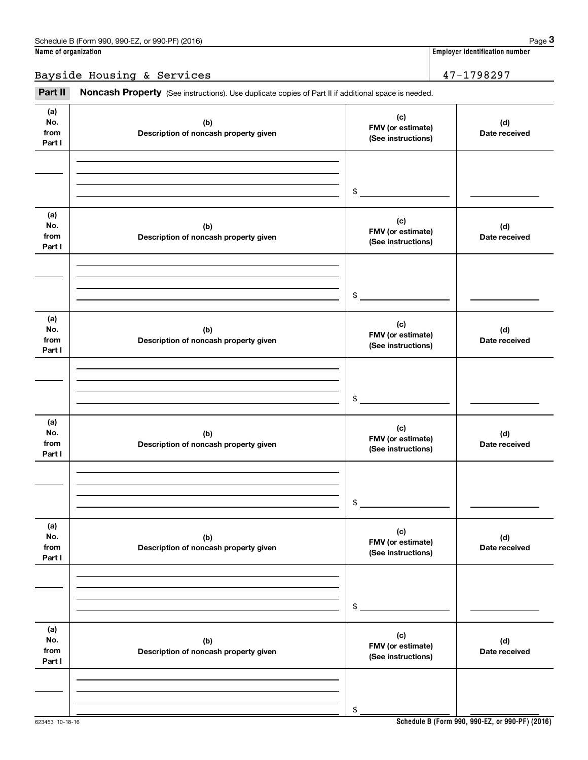| Schedule B (Form 990, 990-EZ, or 990-PF) (2016)                                                                              | Page $3$                              |
|------------------------------------------------------------------------------------------------------------------------------|---------------------------------------|
| Name of organization                                                                                                         | <b>Employer identification number</b> |
| Bayside Housing & Services                                                                                                   | 47-1798297                            |
| <b>Part II</b><br><b>Noncash Property</b> (See instructions). Use duplicate copies of Part II if additional space is needed. |                                       |

| (a)<br>No.<br>from<br>Part I | (b)<br>Description of noncash property given | (c)<br>FMV (or estimate)<br>(See instructions) | (d)<br>Date received |
|------------------------------|----------------------------------------------|------------------------------------------------|----------------------|
|                              |                                              |                                                |                      |
|                              |                                              | \$                                             |                      |
|                              |                                              |                                                |                      |
| (a)<br>No.<br>from<br>Part I | (b)<br>Description of noncash property given | (c)<br>FMV (or estimate)<br>(See instructions) | (d)<br>Date received |
|                              |                                              |                                                |                      |
|                              |                                              | \$                                             |                      |
|                              |                                              |                                                |                      |
| (a)<br>No.<br>from<br>Part I | (b)<br>Description of noncash property given | (c)<br>FMV (or estimate)<br>(See instructions) | (d)<br>Date received |
|                              |                                              |                                                |                      |
|                              |                                              |                                                |                      |
|                              |                                              | \$                                             |                      |
| (a)<br>No.<br>from<br>Part I | (b)<br>Description of noncash property given | (c)<br>FMV (or estimate)<br>(See instructions) | (d)<br>Date received |
|                              |                                              |                                                |                      |
|                              |                                              |                                                |                      |
|                              |                                              | \$                                             |                      |
| (a)<br>No.<br>from<br>Part I | (b)<br>Description of noncash property given | (c)<br>FMV (or estimate)<br>(See instructions) | (d)<br>Date received |
|                              |                                              |                                                |                      |
|                              |                                              |                                                |                      |
|                              |                                              | \$                                             |                      |
| (a)<br>No.<br>from<br>Part I | (b)<br>Description of noncash property given | (c)<br>FMV (or estimate)<br>(See instructions) | (d)<br>Date received |
|                              |                                              |                                                |                      |
|                              |                                              |                                                |                      |
|                              |                                              | \$                                             |                      |

# Bayside Housing & Services 47-1798297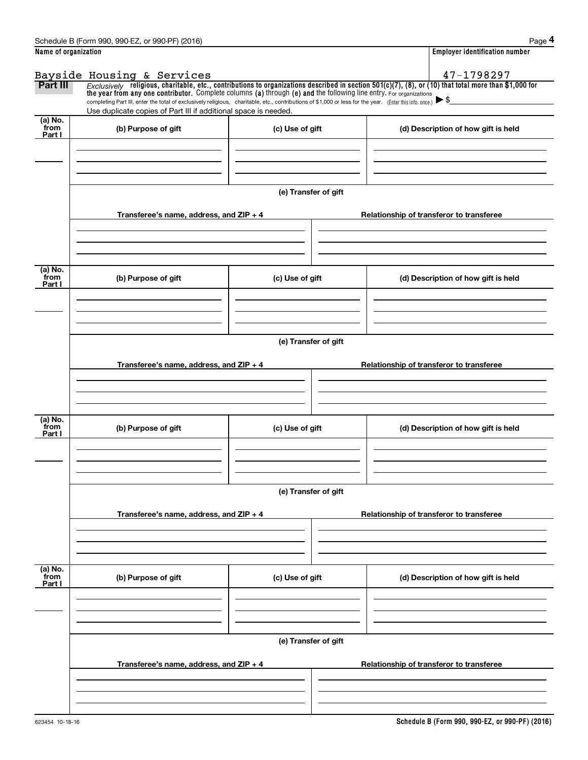|                           | Schedule B (Form 990, 990-EZ, or 990-PF) (2016)                                                                                                                                                                                                      |                      | Page 4                                                                                                                                                  |  |  |  |  |  |  |
|---------------------------|------------------------------------------------------------------------------------------------------------------------------------------------------------------------------------------------------------------------------------------------------|----------------------|---------------------------------------------------------------------------------------------------------------------------------------------------------|--|--|--|--|--|--|
| Name of organization      |                                                                                                                                                                                                                                                      |                      | <b>Employer identification number</b>                                                                                                                   |  |  |  |  |  |  |
|                           | Bayside Housing & Services                                                                                                                                                                                                                           |                      | 47-1798297                                                                                                                                              |  |  |  |  |  |  |
| Part III                  | the year from any one contributor. Complete columns (a) through (e) and the following line entry. For organizations                                                                                                                                  |                      | $Exclusively$ religious, charitable, etc., contributions to organizations described in section 501(c)(7), (8), or (10) that total more than \$1,000 for |  |  |  |  |  |  |
|                           | completing Part III, enter the total of exclusively religious, charitable, etc., contributions of \$1,000 or less for the year. (Enter this info. once.) $\blacktriangleright$ \$<br>Use duplicate copies of Part III if additional space is needed. |                      |                                                                                                                                                         |  |  |  |  |  |  |
| (a) No.<br>from<br>Part I | (b) Purpose of gift                                                                                                                                                                                                                                  | (c) Use of gift      | (d) Description of how gift is held                                                                                                                     |  |  |  |  |  |  |
|                           |                                                                                                                                                                                                                                                      |                      |                                                                                                                                                         |  |  |  |  |  |  |
|                           |                                                                                                                                                                                                                                                      | (e) Transfer of gift |                                                                                                                                                         |  |  |  |  |  |  |
|                           | Transferee's name, address, and $ZIP + 4$                                                                                                                                                                                                            |                      | Relationship of transferor to transferee                                                                                                                |  |  |  |  |  |  |
|                           |                                                                                                                                                                                                                                                      |                      |                                                                                                                                                         |  |  |  |  |  |  |
| (a) No.<br>from<br>Part I | (b) Purpose of gift                                                                                                                                                                                                                                  | (c) Use of gift      | (d) Description of how gift is held                                                                                                                     |  |  |  |  |  |  |
|                           |                                                                                                                                                                                                                                                      |                      |                                                                                                                                                         |  |  |  |  |  |  |
|                           | (e) Transfer of gift                                                                                                                                                                                                                                 |                      |                                                                                                                                                         |  |  |  |  |  |  |
|                           |                                                                                                                                                                                                                                                      |                      |                                                                                                                                                         |  |  |  |  |  |  |
|                           | Transferee's name, address, and $ZIP + 4$                                                                                                                                                                                                            |                      | Relationship of transferor to transferee                                                                                                                |  |  |  |  |  |  |
|                           |                                                                                                                                                                                                                                                      |                      |                                                                                                                                                         |  |  |  |  |  |  |
|                           |                                                                                                                                                                                                                                                      |                      |                                                                                                                                                         |  |  |  |  |  |  |
| (a) No.<br>from<br>Part I | (b) Purpose of gift                                                                                                                                                                                                                                  | (c) Use of gift      | (d) Description of how gift is held                                                                                                                     |  |  |  |  |  |  |
|                           |                                                                                                                                                                                                                                                      |                      |                                                                                                                                                         |  |  |  |  |  |  |
|                           |                                                                                                                                                                                                                                                      |                      |                                                                                                                                                         |  |  |  |  |  |  |
|                           |                                                                                                                                                                                                                                                      |                      |                                                                                                                                                         |  |  |  |  |  |  |
|                           |                                                                                                                                                                                                                                                      | (e) Transfer of gift |                                                                                                                                                         |  |  |  |  |  |  |
|                           | Transferee's name, address, and $ZIP + 4$                                                                                                                                                                                                            |                      | Relationship of transferor to transferee                                                                                                                |  |  |  |  |  |  |
|                           |                                                                                                                                                                                                                                                      |                      |                                                                                                                                                         |  |  |  |  |  |  |
|                           |                                                                                                                                                                                                                                                      |                      |                                                                                                                                                         |  |  |  |  |  |  |
|                           |                                                                                                                                                                                                                                                      |                      |                                                                                                                                                         |  |  |  |  |  |  |
| (a) No.<br>from<br>Part I | (b) Purpose of gift                                                                                                                                                                                                                                  | (c) Use of gift      | (d) Description of how gift is held                                                                                                                     |  |  |  |  |  |  |
|                           |                                                                                                                                                                                                                                                      |                      |                                                                                                                                                         |  |  |  |  |  |  |
|                           |                                                                                                                                                                                                                                                      |                      |                                                                                                                                                         |  |  |  |  |  |  |
|                           | (e) Transfer of gift                                                                                                                                                                                                                                 |                      |                                                                                                                                                         |  |  |  |  |  |  |
|                           | Transferee's name, address, and ZIP + 4                                                                                                                                                                                                              |                      | Relationship of transferor to transferee                                                                                                                |  |  |  |  |  |  |
|                           |                                                                                                                                                                                                                                                      |                      |                                                                                                                                                         |  |  |  |  |  |  |
|                           |                                                                                                                                                                                                                                                      |                      |                                                                                                                                                         |  |  |  |  |  |  |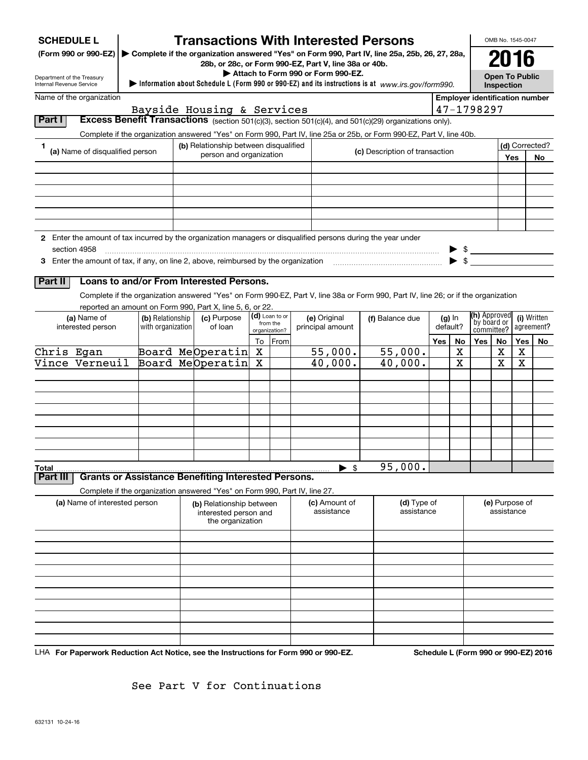| <b>SCHEDULE L</b>                                                                                                             |                                                                                                               |                   |  | <b>Transactions With Interested Persons</b>                                                                                                            |             |                            |                                    |            |                                |                           |          |         |                                       |            | OMB No. 1545-0047     |                |
|-------------------------------------------------------------------------------------------------------------------------------|---------------------------------------------------------------------------------------------------------------|-------------------|--|--------------------------------------------------------------------------------------------------------------------------------------------------------|-------------|----------------------------|------------------------------------|------------|--------------------------------|---------------------------|----------|---------|---------------------------------------|------------|-----------------------|----------------|
|                                                                                                                               | (Form 990 or 990-EZ)                                                                                          |                   |  | Complete if the organization answered "Yes" on Form 990, Part IV, line 25a, 25b, 26, 27, 28a,<br>28b, or 28c, or Form 990-EZ, Part V, line 38a or 40b. |             |                            |                                    |            |                                |                           |          |         |                                       |            | 2016                  |                |
| Department of the Treasury                                                                                                    |                                                                                                               |                   |  |                                                                                                                                                        |             |                            | Attach to Form 990 or Form 990-EZ. |            |                                |                           |          |         |                                       |            | <b>Open To Public</b> |                |
| Information about Schedule L (Form 990 or 990-EZ) and its instructions is at www.irs.gov/form990.<br>Internal Revenue Service |                                                                                                               |                   |  |                                                                                                                                                        |             |                            |                                    | Inspection |                                |                           |          |         |                                       |            |                       |                |
|                                                                                                                               | Name of the organization                                                                                      |                   |  |                                                                                                                                                        |             |                            |                                    |            |                                |                           |          |         | <b>Employer identification number</b> |            |                       |                |
| Part I                                                                                                                        |                                                                                                               |                   |  | Bayside Housing & Services<br>Excess Benefit Transactions (section 501(c)(3), section 501(c)(4), and 501(c)(29) organizations only).                   |             |                            |                                    |            |                                |                           |          |         | 47-1798297                            |            |                       |                |
|                                                                                                                               |                                                                                                               |                   |  | Complete if the organization answered "Yes" on Form 990, Part IV, line 25a or 25b, or Form 990-EZ, Part V, line 40b.                                   |             |                            |                                    |            |                                |                           |          |         |                                       |            |                       |                |
|                                                                                                                               |                                                                                                               |                   |  | (b) Relationship between disqualified                                                                                                                  |             |                            |                                    |            |                                |                           |          |         |                                       |            |                       | (d) Corrected? |
|                                                                                                                               | (a) Name of disqualified person                                                                               |                   |  | person and organization                                                                                                                                |             |                            |                                    |            | (c) Description of transaction |                           |          |         |                                       |            | Yes                   | No             |
|                                                                                                                               |                                                                                                               |                   |  |                                                                                                                                                        |             |                            |                                    |            |                                |                           |          |         |                                       |            |                       |                |
|                                                                                                                               |                                                                                                               |                   |  |                                                                                                                                                        |             |                            |                                    |            |                                |                           |          |         |                                       |            |                       |                |
|                                                                                                                               |                                                                                                               |                   |  |                                                                                                                                                        |             |                            |                                    |            |                                |                           |          |         |                                       |            |                       |                |
|                                                                                                                               |                                                                                                               |                   |  |                                                                                                                                                        |             |                            |                                    |            |                                |                           |          |         |                                       |            |                       |                |
|                                                                                                                               | 2 Enter the amount of tax incurred by the organization managers or disqualified persons during the year under |                   |  |                                                                                                                                                        |             |                            |                                    |            |                                |                           |          |         |                                       |            |                       |                |
|                                                                                                                               | section 4958                                                                                                  |                   |  |                                                                                                                                                        |             |                            |                                    |            |                                |                           |          |         | $\triangleright$ \$                   |            |                       |                |
|                                                                                                                               |                                                                                                               |                   |  |                                                                                                                                                        |             |                            |                                    |            |                                |                           |          |         | $\blacktriangleright$ \$              |            |                       |                |
| Part II                                                                                                                       |                                                                                                               |                   |  | Loans to and/or From Interested Persons.                                                                                                               |             |                            |                                    |            |                                |                           |          |         |                                       |            |                       |                |
|                                                                                                                               |                                                                                                               |                   |  | Complete if the organization answered "Yes" on Form 990-EZ, Part V, line 38a or Form 990, Part IV, line 26; or if the organization                     |             |                            |                                    |            |                                |                           |          |         |                                       |            |                       |                |
|                                                                                                                               |                                                                                                               |                   |  | reported an amount on Form 990, Part X, line 5, 6, or 22.                                                                                              |             |                            |                                    |            |                                |                           |          |         |                                       |            |                       |                |
|                                                                                                                               | (a) Name of                                                                                                   | (b) Relationship  |  | (c) Purpose                                                                                                                                            |             | (d) Loan to or<br>from the | (e) Original                       |            | (f) Balance due                |                           | $(g)$ In |         | (h) Approved<br>by board or           |            |                       | (i) Written    |
|                                                                                                                               | interested person                                                                                             | with organization |  | of loan                                                                                                                                                |             | organization?              | principal amount                   |            |                                |                           | default? |         | committee?                            |            |                       | agreement?     |
| Chris Egan                                                                                                                    |                                                                                                               |                   |  | Board MeOperatin                                                                                                                                       | To<br>X     | From                       | 55,000.                            |            | 55,000.                        |                           | Yes      | No<br>X | Yes                                   | No<br>X    | Yes<br>X              | No             |
|                                                                                                                               | Vince Verneuil                                                                                                |                   |  | Board MeOperatin                                                                                                                                       | $\mathbf x$ |                            | 40,000.                            |            | 40,000.                        |                           |          | X       |                                       | X          | X                     |                |
|                                                                                                                               |                                                                                                               |                   |  |                                                                                                                                                        |             |                            |                                    |            |                                |                           |          |         |                                       |            |                       |                |
|                                                                                                                               |                                                                                                               |                   |  |                                                                                                                                                        |             |                            |                                    |            |                                |                           |          |         |                                       |            |                       |                |
|                                                                                                                               |                                                                                                               |                   |  |                                                                                                                                                        |             |                            |                                    |            |                                |                           |          |         |                                       |            |                       |                |
|                                                                                                                               |                                                                                                               |                   |  |                                                                                                                                                        |             |                            |                                    |            |                                |                           |          |         |                                       |            |                       |                |
|                                                                                                                               |                                                                                                               |                   |  |                                                                                                                                                        |             |                            |                                    |            |                                |                           |          |         |                                       |            |                       |                |
|                                                                                                                               |                                                                                                               |                   |  |                                                                                                                                                        |             |                            |                                    |            |                                |                           |          |         |                                       |            |                       |                |
| Total                                                                                                                         |                                                                                                               |                   |  |                                                                                                                                                        |             |                            |                                    | \$<br>▶    | 95,000.                        |                           |          |         |                                       |            |                       |                |
| Part III                                                                                                                      |                                                                                                               |                   |  | <b>Grants or Assistance Benefiting Interested Persons.</b>                                                                                             |             |                            |                                    |            |                                |                           |          |         |                                       |            |                       |                |
|                                                                                                                               |                                                                                                               |                   |  | Complete if the organization answered "Yes" on Form 990, Part IV, line 27.                                                                             |             |                            |                                    |            |                                |                           |          |         |                                       |            |                       |                |
|                                                                                                                               | (a) Name of interested person                                                                                 |                   |  | (b) Relationship between<br>interested person and<br>the organization                                                                                  |             |                            | (c) Amount of<br>assistance        |            |                                | (d) Type of<br>assistance |          |         |                                       | assistance | (e) Purpose of        |                |
|                                                                                                                               |                                                                                                               |                   |  |                                                                                                                                                        |             |                            |                                    |            |                                |                           |          |         |                                       |            |                       |                |
|                                                                                                                               |                                                                                                               |                   |  |                                                                                                                                                        |             |                            |                                    |            |                                |                           |          |         |                                       |            |                       |                |
|                                                                                                                               |                                                                                                               |                   |  |                                                                                                                                                        |             |                            |                                    |            |                                |                           |          |         |                                       |            |                       |                |
|                                                                                                                               |                                                                                                               |                   |  |                                                                                                                                                        |             |                            |                                    |            |                                |                           |          |         |                                       |            |                       |                |
|                                                                                                                               |                                                                                                               |                   |  |                                                                                                                                                        |             |                            |                                    |            |                                |                           |          |         |                                       |            |                       |                |
|                                                                                                                               |                                                                                                               |                   |  |                                                                                                                                                        |             |                            |                                    |            |                                |                           |          |         |                                       |            |                       |                |
|                                                                                                                               |                                                                                                               |                   |  |                                                                                                                                                        |             |                            |                                    |            |                                |                           |          |         |                                       |            |                       |                |
|                                                                                                                               |                                                                                                               |                   |  |                                                                                                                                                        |             |                            |                                    |            |                                |                           |          |         |                                       |            |                       |                |

LHA For Paperwork Reduction Act Notice, see the Instructions for Form 990 or 990-EZ. Schedule L (Form 990 or 990-EZ) 2016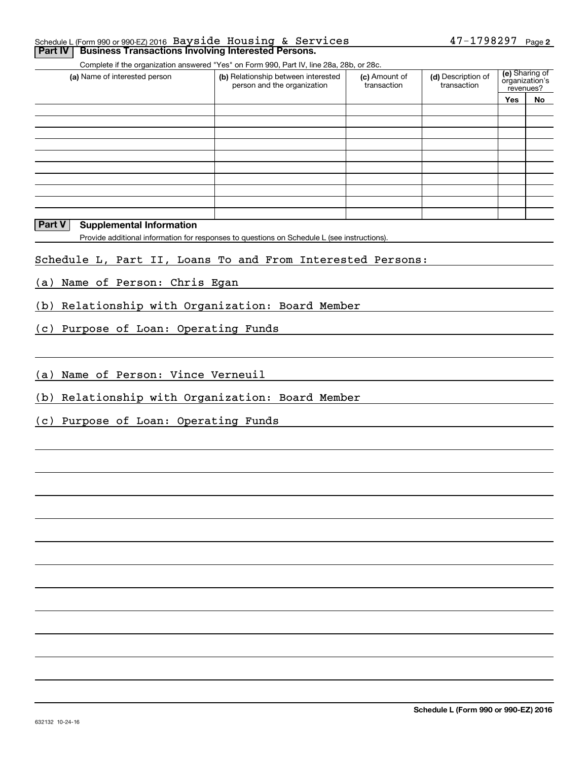#### Schedule L (Form 990 or 990-EZ) 2016 Page Bayside Housing & Services**Part IV** Business Transactions Involving Interested Persons.

Complete if the organization answered "Yes" on Form 990, Part IV, line 28a, 28b, or 28c.

| (a) Name of interested person | (b) Relationship between interested<br>person and the organization | (c) Amount of<br>transaction | (d) Description of<br>transaction | (e) Sharing of<br>organization's<br>revenues? |    |
|-------------------------------|--------------------------------------------------------------------|------------------------------|-----------------------------------|-----------------------------------------------|----|
|                               |                                                                    |                              |                                   | Yes                                           | No |
|                               |                                                                    |                              |                                   |                                               |    |
|                               |                                                                    |                              |                                   |                                               |    |
|                               |                                                                    |                              |                                   |                                               |    |
|                               |                                                                    |                              |                                   |                                               |    |
|                               |                                                                    |                              |                                   |                                               |    |
|                               |                                                                    |                              |                                   |                                               |    |
|                               |                                                                    |                              |                                   |                                               |    |
|                               |                                                                    |                              |                                   |                                               |    |
|                               |                                                                    |                              |                                   |                                               |    |
|                               |                                                                    |                              |                                   |                                               |    |

### **Part V** Supplemental Information

Provide additional information for responses to questions on Schedule L (see instructions).

### Schedule L, Part II, Loans To and From Interested Persons:

(a) Name of Person: Chris Egan

(b) Relationship with Organization: Board Member

(c) Purpose of Loan: Operating Funds

(a) Name of Person: Vince Verneuil

(b) Relationship with Organization: Board Member

(c) Purpose of Loan: Operating Funds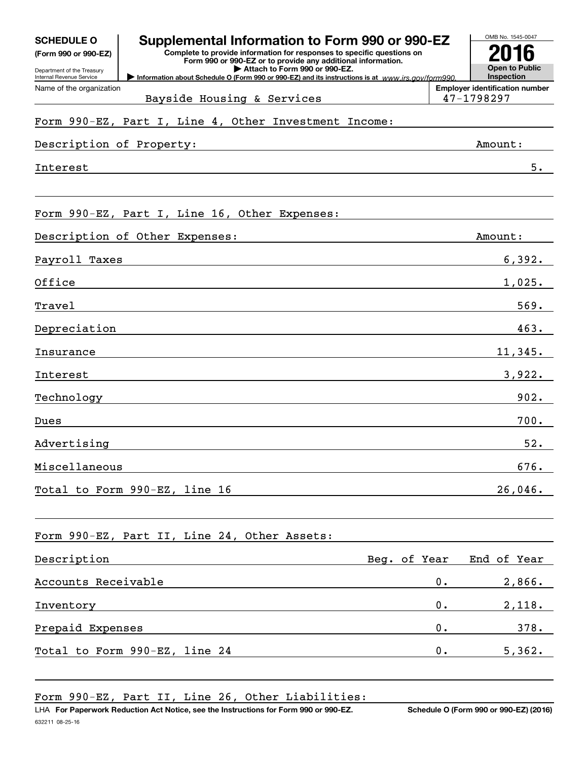| <b>SCHEDULE O</b><br>(Form 990 or 990-EZ)<br>Department of the Treasury<br>Internal Revenue Service | Supplemental Information to Form 990 or 990-EZ<br>Complete to provide information for responses to specific questions on<br>Form 990 or 990-EZ or to provide any additional information.<br>Attach to Form 990 or 990-EZ.<br>Information about Schedule O (Form 990 or 990-EZ) and its instructions is at www.irs.gov/form990. |    | OMB No. 1545-0047<br>117<br><b>Open to Public</b><br>Inspection |
|-----------------------------------------------------------------------------------------------------|--------------------------------------------------------------------------------------------------------------------------------------------------------------------------------------------------------------------------------------------------------------------------------------------------------------------------------|----|-----------------------------------------------------------------|
| Name of the organization                                                                            | Bayside Housing & Services                                                                                                                                                                                                                                                                                                     |    | <b>Employer identification number</b><br>47-1798297             |
|                                                                                                     | Form 990-EZ, Part I, Line 4, Other Investment Income:                                                                                                                                                                                                                                                                          |    |                                                                 |
| Description of Property:                                                                            |                                                                                                                                                                                                                                                                                                                                |    | Amount:                                                         |
| Interest                                                                                            |                                                                                                                                                                                                                                                                                                                                |    | 5.                                                              |
|                                                                                                     |                                                                                                                                                                                                                                                                                                                                |    |                                                                 |
|                                                                                                     | Form 990-EZ, Part I, Line 16, Other Expenses:                                                                                                                                                                                                                                                                                  |    |                                                                 |
|                                                                                                     | Description of Other Expenses:                                                                                                                                                                                                                                                                                                 |    | Amount:                                                         |
| Payroll Taxes                                                                                       |                                                                                                                                                                                                                                                                                                                                |    | 6,392.                                                          |
| Office                                                                                              |                                                                                                                                                                                                                                                                                                                                |    | 1,025.                                                          |
| Travel                                                                                              |                                                                                                                                                                                                                                                                                                                                |    | 569.                                                            |
| Depreciation                                                                                        |                                                                                                                                                                                                                                                                                                                                |    | 463.                                                            |
| Insurance                                                                                           |                                                                                                                                                                                                                                                                                                                                |    | 11,345.                                                         |
| Interest                                                                                            |                                                                                                                                                                                                                                                                                                                                |    | 3,922.                                                          |
| Technology                                                                                          |                                                                                                                                                                                                                                                                                                                                |    | 902.                                                            |
| Dues                                                                                                |                                                                                                                                                                                                                                                                                                                                |    | 700.                                                            |
| Advertising                                                                                         |                                                                                                                                                                                                                                                                                                                                |    | 52.                                                             |
| Miscellaneous                                                                                       |                                                                                                                                                                                                                                                                                                                                |    | 676.                                                            |
|                                                                                                     | Total to Form 990-EZ, line 16                                                                                                                                                                                                                                                                                                  |    | 26,046.                                                         |
|                                                                                                     |                                                                                                                                                                                                                                                                                                                                |    |                                                                 |
|                                                                                                     | Form 990-EZ, Part II, Line 24, Other Assets:                                                                                                                                                                                                                                                                                   |    |                                                                 |
| Description                                                                                         | Beg. of Year                                                                                                                                                                                                                                                                                                                   |    | End of Year                                                     |
| Accounts Receivable                                                                                 |                                                                                                                                                                                                                                                                                                                                | 0. | 2,866.                                                          |
| Inventory                                                                                           |                                                                                                                                                                                                                                                                                                                                | 0. | 2,118.                                                          |
| Prepaid Expenses                                                                                    |                                                                                                                                                                                                                                                                                                                                | 0. | 378.                                                            |
|                                                                                                     | Total to Form 990-EZ, line 24                                                                                                                                                                                                                                                                                                  | 0. | 5,362.                                                          |
|                                                                                                     |                                                                                                                                                                                                                                                                                                                                |    |                                                                 |

Form 990-EZ, Part II, Line 26, Other Liabilities: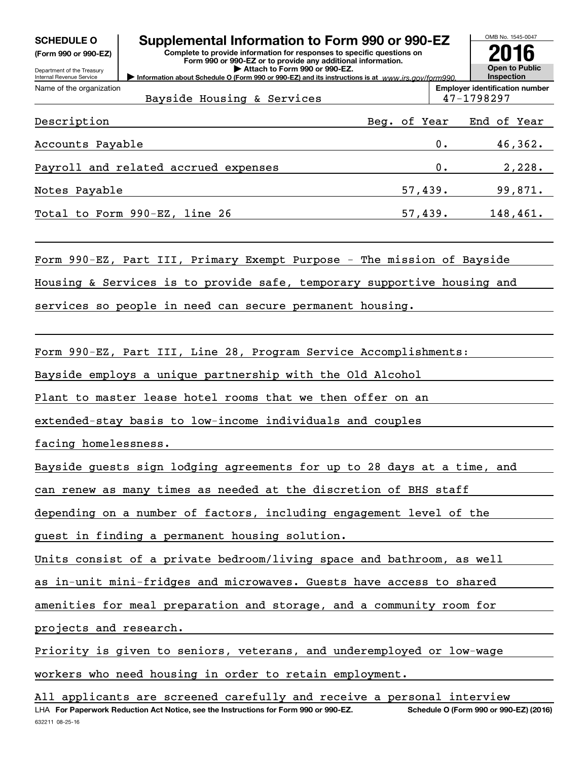| <b>SCHEDULE O</b><br>(Form 990 or 990-EZ)<br>Department of the Treasury | Supplemental Information to Form 990 or 990-EZ<br>Complete to provide information for responses to specific questions on<br>Form 990 or 990-EZ or to provide any additional information.<br>Attach to Form 990 or 990-EZ. |              |       | OMB No. 1545-0047<br>2016<br><b>Open to Public</b>  |
|-------------------------------------------------------------------------|---------------------------------------------------------------------------------------------------------------------------------------------------------------------------------------------------------------------------|--------------|-------|-----------------------------------------------------|
| <b>Internal Revenue Service</b>                                         | Information about Schedule O (Form 990 or 990-EZ) and its instructions is at www.irs.gov/form990.                                                                                                                         |              |       | Inspection                                          |
| Name of the organization                                                | Bayside Housing & Services                                                                                                                                                                                                |              |       | <b>Employer identification number</b><br>47-1798297 |
| Description                                                             |                                                                                                                                                                                                                           | Beg. of Year |       | End of Year                                         |
| Accounts Payable                                                        |                                                                                                                                                                                                                           |              | $0$ . | 46,362.                                             |
|                                                                         | Payroll and related accrued expenses                                                                                                                                                                                      |              | 0.    | 2,228.                                              |
| Notes Payable                                                           |                                                                                                                                                                                                                           | 57,439.      |       | 99,871.                                             |
|                                                                         | Total to Form 990-EZ, line 26                                                                                                                                                                                             | 57,439.      |       | 148,461.                                            |
|                                                                         |                                                                                                                                                                                                                           |              |       |                                                     |
|                                                                         | Form 990-EZ, Part III, Primary Exempt Purpose - The mission of Bayside                                                                                                                                                    |              |       |                                                     |
|                                                                         | Housing & Services is to provide safe, temporary supportive housing and                                                                                                                                                   |              |       |                                                     |
|                                                                         | services so people in need can secure permanent housing.                                                                                                                                                                  |              |       |                                                     |
|                                                                         |                                                                                                                                                                                                                           |              |       |                                                     |
|                                                                         | Form 990-EZ, Part III, Line 28, Program Service Accomplishments:                                                                                                                                                          |              |       |                                                     |

Bayside employs a unique partnership with the Old Alcohol

Plant to master lease hotel rooms that we then offer on an

extended-stay basis to low-income individuals and couples

facing homelessness.

Bayside guests sign lodging agreements for up to 28 days at a time, and

can renew as many times as needed at the discretion of BHS staff

depending on a number of factors, including engagement level of the

guest in finding a permanent housing solution.

Units consist of a private bedroom/living space and bathroom, as well

as in-unit mini-fridges and microwaves. Guests have access to shared

amenities for meal preparation and storage, and a community room for

projects and research.

Priority is given to seniors, veterans, and underemployed or low-wage

workers who need housing in order to retain employment.

632211 08-25-16 LHA For Paperwork Reduction Act Notice, see the Instructions for Form 990 or 990-EZ. Schedule O (Form 990 or 990-EZ) (2016) All applicants are screened carefully and receive a personal interview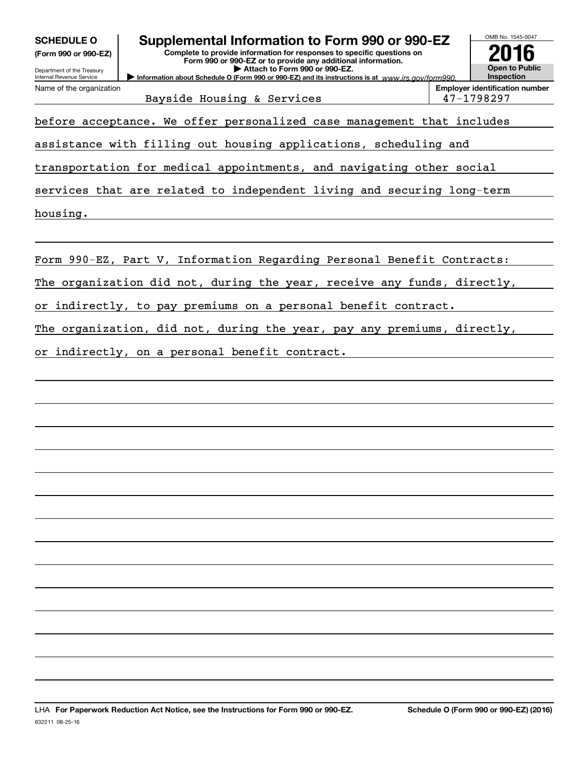|                                                        |                                                                                                                                                                                                                           | OMB No. 1545-0047                                   |
|--------------------------------------------------------|---------------------------------------------------------------------------------------------------------------------------------------------------------------------------------------------------------------------------|-----------------------------------------------------|
| <b>SCHEDULE O</b><br>(Form 990 or 990-EZ)              | Supplemental Information to Form 990 or 990-EZ<br>Complete to provide information for responses to specific questions on<br>Form 990 or 990-EZ or to provide any additional information.<br>Attach to Form 990 or 990-EZ. | <b>Open to Public</b>                               |
| Department of the Treasury<br>Internal Revenue Service | Information about Schedule O (Form 990 or 990-EZ) and its instructions is at www.irs.gov/form990.                                                                                                                         | <b>Inspection</b>                                   |
| Name of the organization                               | Bayside Housing & Services                                                                                                                                                                                                | <b>Employer identification number</b><br>47-1798297 |
|                                                        |                                                                                                                                                                                                                           |                                                     |
|                                                        | before acceptance. We offer personalized case management that includes                                                                                                                                                    |                                                     |
|                                                        | assistance with filling out housing applications, scheduling and                                                                                                                                                          |                                                     |
|                                                        | transportation for medical appointments, and navigating other social                                                                                                                                                      |                                                     |
|                                                        | services that are related to independent living and securing long-term                                                                                                                                                    |                                                     |
| housing.                                               |                                                                                                                                                                                                                           |                                                     |
|                                                        |                                                                                                                                                                                                                           |                                                     |
|                                                        | Form 990-EZ, Part V, Information Regarding Personal Benefit Contracts:                                                                                                                                                    |                                                     |
|                                                        | The organization did not, during the year, receive any funds, directly,                                                                                                                                                   |                                                     |
|                                                        | or indirectly, to pay premiums on a personal benefit contract.                                                                                                                                                            |                                                     |
|                                                        | The organization, did not, during the year, pay any premiums, directly,                                                                                                                                                   |                                                     |
|                                                        | or indirectly, on a personal benefit contract.                                                                                                                                                                            |                                                     |
|                                                        |                                                                                                                                                                                                                           |                                                     |
|                                                        |                                                                                                                                                                                                                           |                                                     |
|                                                        |                                                                                                                                                                                                                           |                                                     |
|                                                        |                                                                                                                                                                                                                           |                                                     |
|                                                        |                                                                                                                                                                                                                           |                                                     |
|                                                        |                                                                                                                                                                                                                           |                                                     |
|                                                        |                                                                                                                                                                                                                           |                                                     |
|                                                        |                                                                                                                                                                                                                           |                                                     |
|                                                        |                                                                                                                                                                                                                           |                                                     |
|                                                        |                                                                                                                                                                                                                           |                                                     |
|                                                        |                                                                                                                                                                                                                           |                                                     |
|                                                        |                                                                                                                                                                                                                           |                                                     |